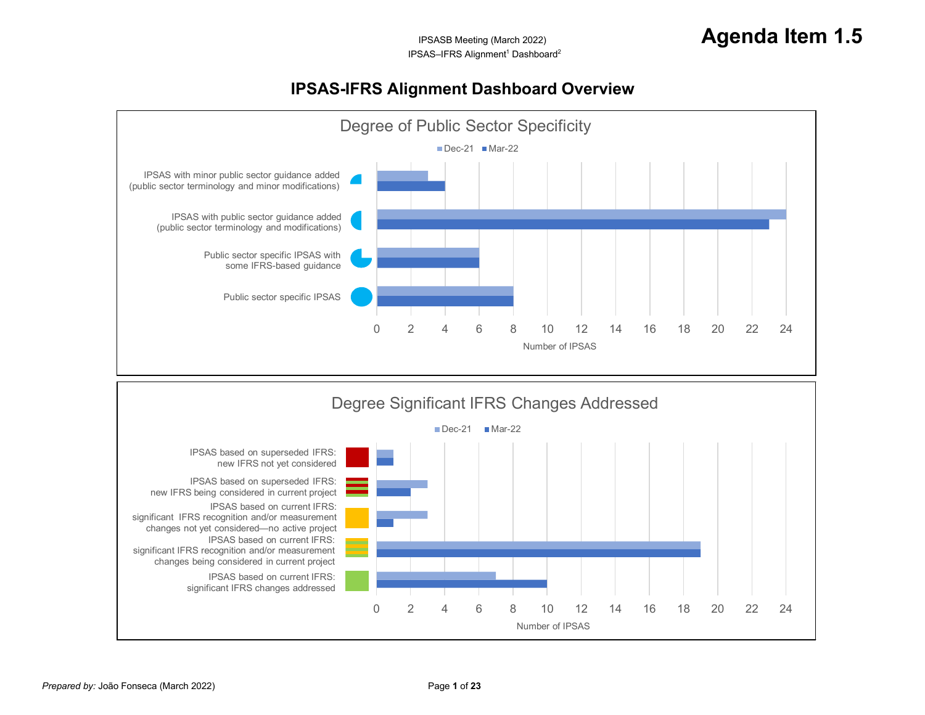## <span id="page-0-0"></span>**IPSAS-IFRS Alignment Dashboard Overview**

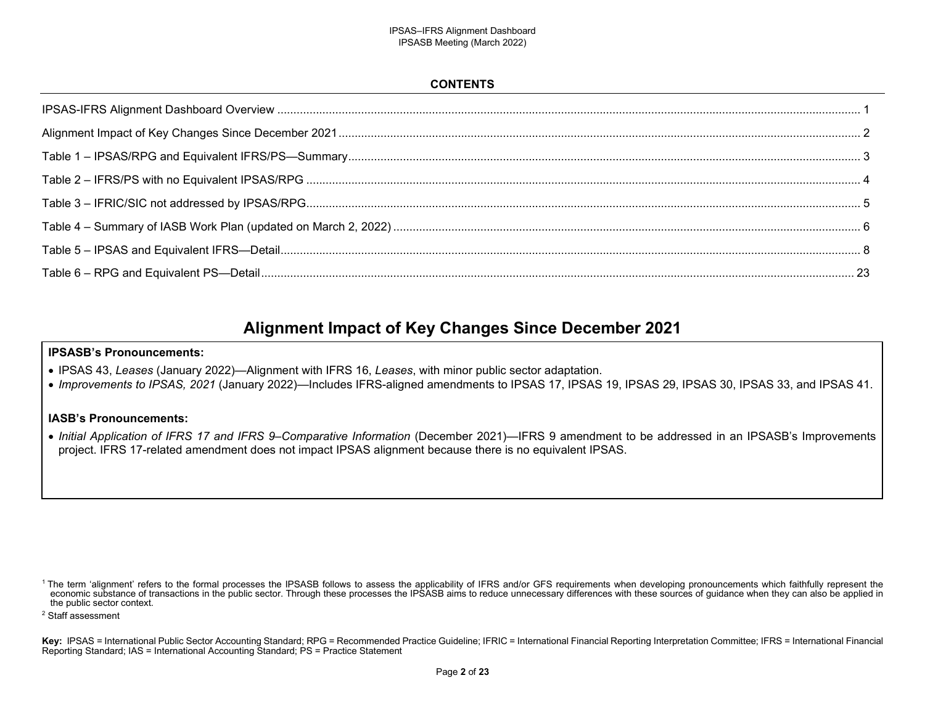### <span id="page-1-0"></span>**CONTENTS**

## **Alignment Impact of Key Changes Since December 2021**

### **IPSASB's Pronouncements:**

- IPSAS 43, *Leases* (January 2022)—Alignment with IFRS 16, *Leases*, with minor public sector adaptation.
- *Improvements to IPSAS, 2021* (January 2022)—Includes IFRS-aligned amendments to IPSAS 17, IPSAS 19, IPSAS 29, IPSAS 30, IPSAS 33, and IPSAS 41.

### **IASB's Pronouncements:**

 *Initial Application of IFRS 17 and IFRS 9–Comparative Information* (December 2021)—IFRS 9 amendment to be addressed in an IPSASB's Improvements project. IFRS 17-related amendment does not impact IPSAS alignment because there is no equivalent IPSAS.

<sup>&</sup>lt;sup>1</sup> The term 'alignment' refers to the formal processes the IPSASB follows to assess the applicability of IFRS and/or GFS requirements when developing pronouncements which faithfully represent the economic substance of transactions in the public sector. Through these processes the IPSASB aims to reduce unnecessary differences with these sources of guidance when they can also be applied in the public sector context.

<sup>2</sup> Staff assessment

**Key:** IPSAS = International Public Sector Accounting Standard; RPG = Recommended Practice Guideline; IFRIC = International Financial Reporting Interpretation Committee; IFRS = International Financial Reporting Standard; IAS = International Accounting Standard; PS = Practice Statement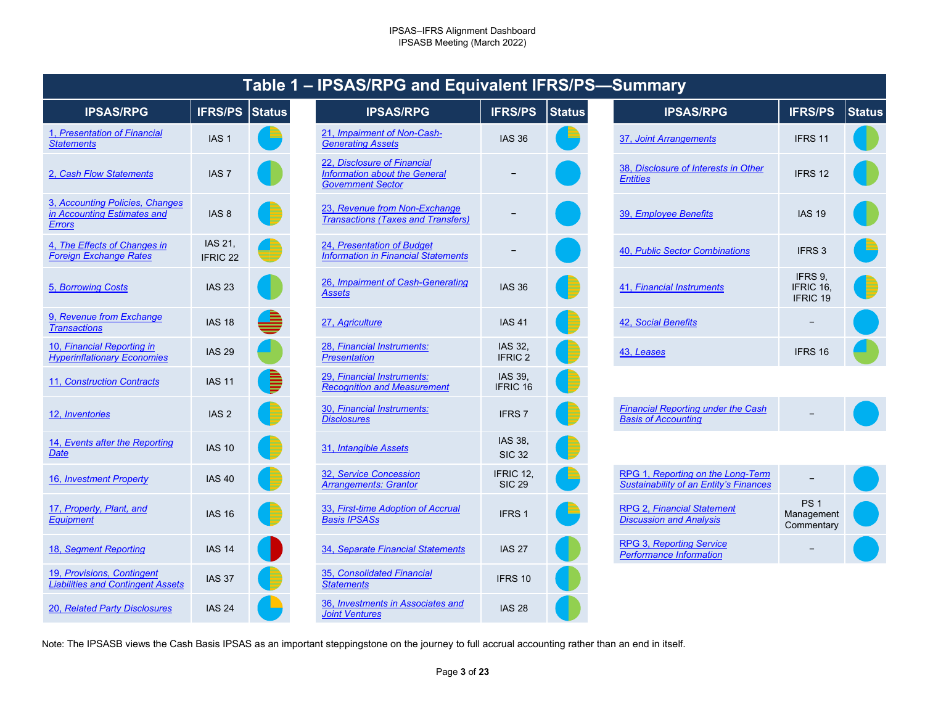|                                                                          |                                | i unic        | <b>URUITY &amp; GIN Equivalent</b>                                                              |                                  |
|--------------------------------------------------------------------------|--------------------------------|---------------|-------------------------------------------------------------------------------------------------|----------------------------------|
| <b>IPSAS/RPG</b>                                                         | <b>IFRS/PS</b>                 | <b>Status</b> | <b>IPSAS/RPG</b>                                                                                | <b>IFRS/PS</b>                   |
| 1, Presentation of Financial<br><b>Statements</b>                        | IAS <sub>1</sub>               |               | 21, Impairment of Non-Cash-<br><b>Generating Assets</b>                                         | <b>IAS 36</b>                    |
| 2. Cash Flow Statements                                                  | IAS <sub>7</sub>               |               | 22, Disclosure of Financial<br><b>Information about the General</b><br><b>Government Sector</b> |                                  |
| 3, Accounting Policies, Changes<br>in Accounting Estimates and<br>Errors | IAS <sub>8</sub>               |               | 23, Revenue from Non-Exchange<br><b>Transactions (Taxes and Transfers)</b>                      |                                  |
| 4, The Effects of Changes in<br><b>Foreign Exchange Rates</b>            | IAS 21.<br>IFRIC <sub>22</sub> |               | 24, Presentation of Budget<br><b>Information in Financial Statements</b>                        |                                  |
| 5, Borrowing Costs                                                       | <b>IAS 23</b>                  |               | 26, Impairment of Cash-Generating<br>Assets                                                     | <b>IAS 36</b>                    |
| 9, Revenue from Exchange<br><b>Transactions</b>                          | <b>IAS 18</b>                  |               | 27, Agriculture                                                                                 | <b>IAS 41</b>                    |
| 10, Financial Reporting in<br><b>Hyperinflationary Economies</b>         | <b>IAS 29</b>                  |               | 28, Financial Instruments:<br><b>Presentation</b>                                               | <b>IAS 32.</b><br><b>IFRIC 2</b> |
| 11, Construction Contracts                                               | <b>IAS 11</b>                  |               | 29, Financial Instruments:<br><b>Recognition and Measurement</b>                                | IAS 39.<br><b>IFRIC 16</b>       |
| 12, Inventories                                                          | IAS <sub>2</sub>               |               | 30, Financial Instruments:<br><b>Disclosures</b>                                                | <b>IFRS7</b>                     |
| 14, Events after the Reporting<br>Date                                   | <b>IAS 10</b>                  |               | 31, Intangible Assets                                                                           | IAS 38,<br><b>SIC 32</b>         |
| 16, Investment Property                                                  | <b>IAS 40</b>                  |               | 32, Service Concession<br><b>Arrangements: Grantor</b>                                          | <b>IFRIC 12</b><br><b>SIC 29</b> |
| 17, Property, Plant, and<br><b>Equipment</b>                             | <b>IAS 16</b>                  |               | 33, First-time Adoption of Accrual<br><b>Basis IPSASs</b>                                       | <b>IFRS1</b>                     |
| 18, Segment Reporting                                                    | <b>IAS 14</b>                  |               | 34, Separate Financial Statements                                                               | <b>IAS 27</b>                    |
| 19, Provisions, Contingent<br><b>Liabilities and Contingent Assets</b>   | <b>IAS 37</b>                  |               | 35, Consolidated Financial<br><b>Statements</b>                                                 | IFRS 10                          |
| 20, Related Party Disclosures                                            | <b>IAS 24</b>                  |               | 36, Investments in Associates and<br>Joint <i>Vanturas</i>                                      | <b>IAS 28</b>                    |

## <span id="page-2-13"></span><span id="page-2-12"></span><span id="page-2-11"></span><span id="page-2-10"></span><span id="page-2-9"></span><span id="page-2-8"></span>**Table 1 – IPSAS/RPG and Equivalent IFRS/PS—Summary**

<span id="page-2-29"></span><span id="page-2-28"></span><span id="page-2-15"></span><span id="page-2-14"></span>

| <b>PSAS/RPG</b>                              | <b>IFRS/PS</b>                 | <b>Status</b> | <b>IPSAS/RPG</b>                                                                                | <b>IFRS/PS</b>                | <b>Status</b> | <b>IPSAS/RPG</b>                                                                   | <b>IFRS/PS</b>                              | <b>Status</b> |
|----------------------------------------------|--------------------------------|---------------|-------------------------------------------------------------------------------------------------|-------------------------------|---------------|------------------------------------------------------------------------------------|---------------------------------------------|---------------|
| ation of Financial                           | IAS <sub>1</sub>               |               | 21, Impairment of Non-Cash-<br><b>Generating Assets</b>                                         | <b>IAS 36</b>                 |               | 37, Joint Arrangements                                                             | IFRS 11                                     |               |
| ow Statements                                | IAS <sub>7</sub>               |               | 22, Disclosure of Financial<br><b>Information about the General</b><br><b>Government Sector</b> |                               |               | 38, Disclosure of Interests in Other<br><b>Entities</b>                            | IFRS 12                                     |               |
| ting Policies, Changes<br>ting Estimates and | IAS 8                          |               | 23, Revenue from Non-Exchange<br><b>Transactions (Taxes and Transfers)</b>                      |                               |               | 39, Employee Benefits                                                              | <b>IAS 19</b>                               |               |
| ects of Changes in<br>change Rates           | IAS 21,<br>IFRIC <sub>22</sub> |               | 24, Presentation of Budget<br><b>Information in Financial Statements</b>                        |                               |               | 40, Public Sector Combinations                                                     | IFRS 3                                      |               |
| ng Costs                                     | <b>IAS 23</b>                  |               | 26, Impairment of Cash-Generating<br><b>Assets</b>                                              | <b>IAS 36</b>                 |               | 41, Financial Instruments                                                          | IFRS 9,<br>IFRIC 16.<br>IFRIC <sub>19</sub> |               |
| e from Exchange<br><u>ns</u>                 | <b>IAS 18</b>                  |               | 27, Agriculture                                                                                 | <b>IAS 41</b>                 |               | 42, Social Benefits                                                                |                                             |               |
| ial Reporting in<br>tionary Economies        | <b>IAS 29</b>                  |               | 28, Financial Instruments:<br><b>Presentation</b>                                               | IAS 32,<br>IFRIC <sub>2</sub> |               | 43, Leases                                                                         | IFRS 16                                     |               |
| <b>uction Contracts</b>                      | <b>IAS 11</b>                  |               | 29, Financial Instruments:<br><b>Recognition and Measurement</b>                                | IAS 39,<br>IFRIC 16           |               |                                                                                    |                                             |               |
| <u>ories</u>                                 | IAS <sub>2</sub>               |               | 30, Financial Instruments:<br><b>Disclosures</b>                                                | IFRS <sub>7</sub>             |               | <b>Financial Reporting under the Cash</b><br><b>Basis of Accounting</b>            |                                             |               |
| after the Reporting                          | <b>IAS 10</b>                  |               | 31, Intangible Assets                                                                           | IAS 38,<br><b>SIC 32</b>      |               |                                                                                    |                                             |               |
| nent Property                                | <b>IAS 40</b>                  |               | 32, Service Concession<br><b>Arrangements: Grantor</b>                                          | IFRIC 12.<br><b>SIC 29</b>    |               | RPG 1, Reporting on the Long-Term<br><b>Sustainability of an Entity's Finances</b> |                                             |               |
| ty, Plant, and                               | <b>IAS 16</b>                  |               | 33, First-time Adoption of Accrual<br><b>Basis IPSASs</b>                                       | IFRS <sub>1</sub>             |               | RPG 2, Financial Statement<br><b>Discussion and Analysis</b>                       | PS <sub>1</sub><br>Management<br>Commentary |               |
| ent Reporting                                | <b>IAS 14</b>                  |               | 34, Separate Financial Statements                                                               | <b>IAS 27</b>                 |               | <b>RPG 3, Reporting Service</b><br><b>Performance Information</b>                  |                                             |               |
| ions, Contingent<br>and Contingent Assets    | <b>IAS 37</b>                  |               | 35, Consolidated Financial<br><b>Statements</b>                                                 | IFRS 10                       |               |                                                                                    |                                             |               |
| d Party Disclosures                          | <b>IAS 24</b>                  |               | 36, Investments in Associates and<br><b>Joint Ventures</b>                                      | <b>IAS 28</b>                 |               |                                                                                    |                                             |               |

<span id="page-2-7"></span><span id="page-2-6"></span><span id="page-2-5"></span><span id="page-2-4"></span><span id="page-2-3"></span><span id="page-2-2"></span><span id="page-2-1"></span><span id="page-2-0"></span>

|                |                           |               | $\frac{1}{2}$                                           |                                         |               |  |  |  |  |  |
|----------------|---------------------------|---------------|---------------------------------------------------------|-----------------------------------------|---------------|--|--|--|--|--|
|                | <b>IFRS/PS</b>            | <b>Status</b> | <b>IPSAS/RPG</b>                                        | <b>IFRS/PS</b>                          | <b>Status</b> |  |  |  |  |  |
|                | <b>IAS 36</b>             |               | 37, Joint Arrangements                                  | IFRS 11                                 |               |  |  |  |  |  |
|                |                           |               | 38, Disclosure of Interests in Other<br><b>Entities</b> | IFRS 12                                 |               |  |  |  |  |  |
| <u>s)</u>      |                           |               | 39, Employee Benefits                                   | <b>IAS 19</b>                           |               |  |  |  |  |  |
| <u>s</u>       |                           |               | 40, Public Sector Combinations                          | <b>IFRS3</b>                            |               |  |  |  |  |  |
| $\overline{q}$ | <b>IAS 36</b>             |               | 41, Financial Instruments                               | IFRS 9,<br>IFRIC 16.<br><b>IFRIC 19</b> |               |  |  |  |  |  |
|                | <b>IAS 41</b>             |               | 42, Social Benefits                                     |                                         |               |  |  |  |  |  |
|                | IAS 32,<br><b>IFRIC 2</b> |               | 43, Leases                                              | IFRS 16                                 |               |  |  |  |  |  |
|                |                           |               |                                                         |                                         |               |  |  |  |  |  |

<span id="page-2-31"></span><span id="page-2-30"></span><span id="page-2-19"></span><span id="page-2-18"></span><span id="page-2-17"></span><span id="page-2-16"></span>

| <b>Financial Reporting under the Cash</b><br><b>Basis of Accounting</b> |  |  |
|-------------------------------------------------------------------------|--|--|
|-------------------------------------------------------------------------|--|--|

<span id="page-2-38"></span><span id="page-2-37"></span><span id="page-2-36"></span><span id="page-2-35"></span><span id="page-2-34"></span><span id="page-2-33"></span><span id="page-2-32"></span><span id="page-2-27"></span><span id="page-2-26"></span><span id="page-2-25"></span><span id="page-2-24"></span><span id="page-2-23"></span><span id="page-2-22"></span><span id="page-2-21"></span><span id="page-2-20"></span>

| <b>Concession</b><br>ts: Grantor | IFRIC 12,<br><b>SIC 29</b> | RPG 1, Reporting on the Long-Term<br><b>Sustainability of an Entity's Finances</b> |                                        |  |
|----------------------------------|----------------------------|------------------------------------------------------------------------------------|----------------------------------------|--|
| <b>Adoption of Accrual</b>       | <b>IFRS1</b>               | <b>RPG 2, Financial Statement</b><br><b>Discussion and Analysis</b>                | <b>PS1</b><br>Management<br>Commentary |  |
| <b>Financial Statements</b>      | <b>IAS 27</b>              | <b>RPG 3, Reporting Service</b><br><b>Performance Information</b>                  |                                        |  |

<span id="page-2-40"></span><span id="page-2-39"></span>Note: The IPSASB views the Cash Basis IPSAS as an important steppingstone on the journey to full accrual accounting rather than an end in itself.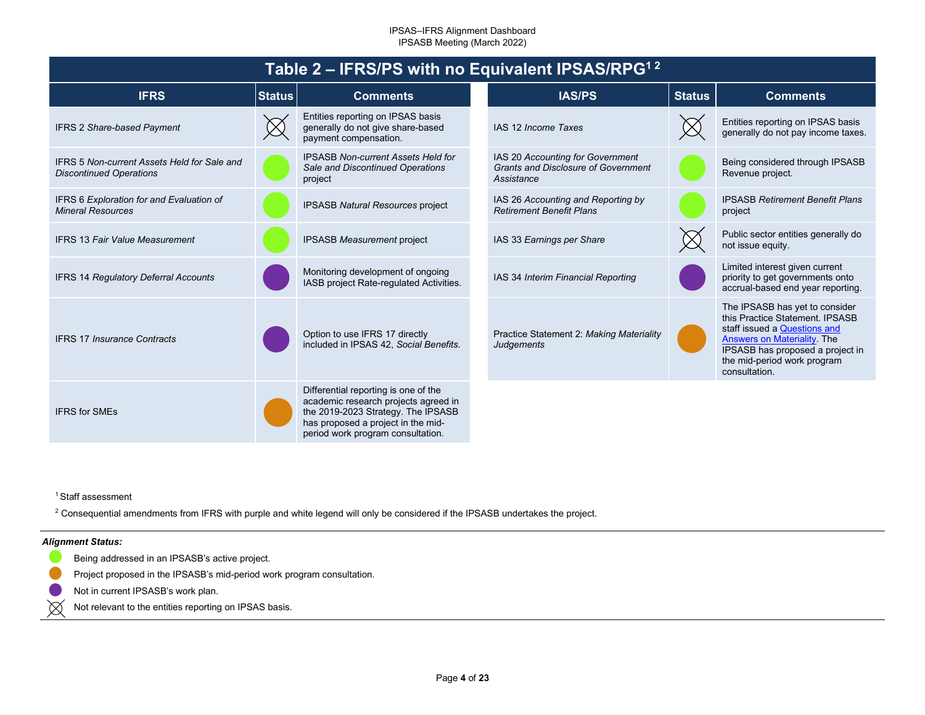<span id="page-3-0"></span>

| Table 2 – IFRS/PS with no Equivalent IPSAS/RPG <sup>12</sup>                         |               |                                                                                                                                                                                               |  |                                                                                              |               |                                                                                                                                                                                                                            |  |  |
|--------------------------------------------------------------------------------------|---------------|-----------------------------------------------------------------------------------------------------------------------------------------------------------------------------------------------|--|----------------------------------------------------------------------------------------------|---------------|----------------------------------------------------------------------------------------------------------------------------------------------------------------------------------------------------------------------------|--|--|
| <b>IFRS</b>                                                                          | <b>Status</b> | <b>Comments</b>                                                                                                                                                                               |  | IAS/PS                                                                                       | <b>Status</b> | <b>Comments</b>                                                                                                                                                                                                            |  |  |
| <b>IFRS 2 Share-based Payment</b>                                                    |               | Entities reporting on IPSAS basis<br>generally do not give share-based<br>payment compensation.                                                                                               |  | IAS 12 Income Taxes                                                                          |               | Entities reporting on IPSAS basis<br>generally do not pay income taxes.                                                                                                                                                    |  |  |
| <b>IFRS 5 Non-current Assets Held for Sale and</b><br><b>Discontinued Operations</b> |               | <b>IPSASB Non-current Assets Held for</b><br>Sale and Discontinued Operations<br>project                                                                                                      |  | IAS 20 Accounting for Government<br><b>Grants and Disclosure of Government</b><br>Assistance |               | Being considered through IPSASB<br>Revenue project.                                                                                                                                                                        |  |  |
| IFRS 6 Exploration for and Evaluation of<br><b>Mineral Resources</b>                 |               | <b>IPSASB Natural Resources project</b>                                                                                                                                                       |  | IAS 26 Accounting and Reporting by<br><b>Retirement Benefit Plans</b>                        |               | <b>IPSASB Retirement Benefit Plans</b><br>project                                                                                                                                                                          |  |  |
| <b>IFRS 13 Fair Value Measurement</b>                                                |               | <b>IPSASB Measurement project</b>                                                                                                                                                             |  | IAS 33 Earnings per Share                                                                    |               | Public sector entities generally do<br>not issue equity.                                                                                                                                                                   |  |  |
| <b>IFRS 14 Regulatory Deferral Accounts</b>                                          |               | Monitoring development of ongoing<br>IASB project Rate-regulated Activities.                                                                                                                  |  | IAS 34 Interim Financial Reporting                                                           |               | Limited interest given current<br>priority to get governments onto<br>accrual-based end year reporting.                                                                                                                    |  |  |
| <b>IFRS 17 Insurance Contracts</b>                                                   |               | Option to use IFRS 17 directly<br>included in IPSAS 42, Social Benefits.                                                                                                                      |  | Practice Statement 2: Making Materiality<br><b>Judgements</b>                                |               | The IPSASB has yet to consider<br>this Practice Statement. IPSASB<br>staff issued a Questions and<br><b>Answers on Materiality The</b><br>IPSASB has proposed a project in<br>the mid-period work program<br>consultation. |  |  |
| <b>IFRS for SMEs</b>                                                                 |               | Differential reporting is one of the<br>academic research projects agreed in<br>the 2019-2023 Strategy. The IPSASB<br>has proposed a project in the mid-<br>period work program consultation. |  |                                                                                              |               |                                                                                                                                                                                                                            |  |  |

<sup>1</sup> Staff assessment

<sup>2</sup> Consequential amendments from IFRS with purple and white legend will only be considered if the IPSASB undertakes the project.

#### *Alignment Status:*

 $\otimes$ 

- Being addressed in an IPSASB's active project.
- Project proposed in the IPSASB's mid-period work program consultation.
- Not in current IPSASB's work plan.
- Not relevant to the entities reporting on IPSAS basis.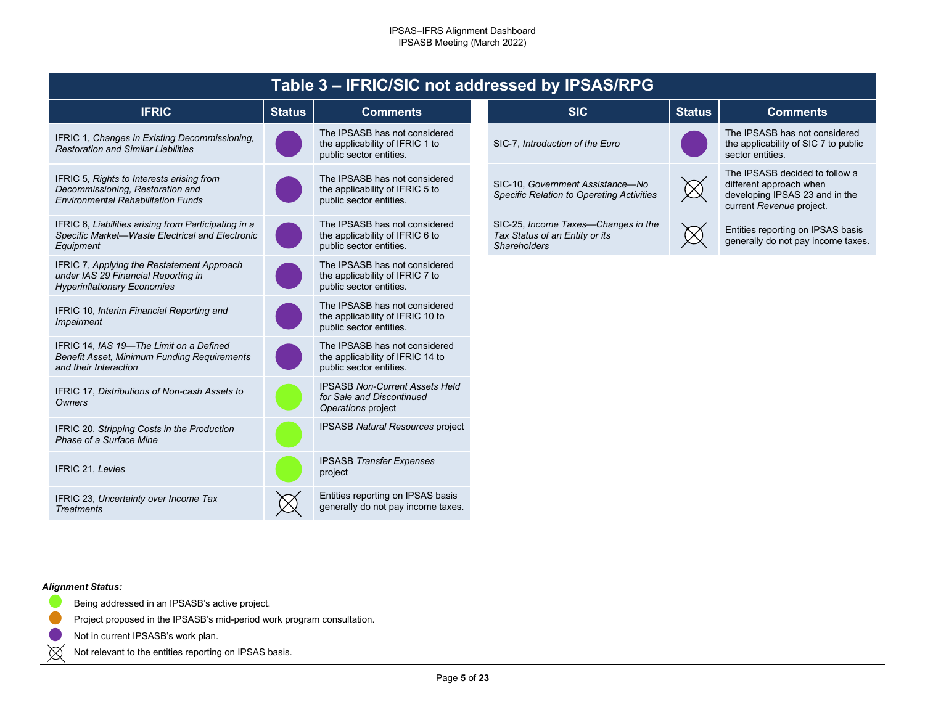<span id="page-4-0"></span>

| Table 3 - IFRIC/SIC not addressed by IPSAS/RPG                                                                             |               |                                                                                              |                                                                                              |               |                                                                                                                         |  |  |  |
|----------------------------------------------------------------------------------------------------------------------------|---------------|----------------------------------------------------------------------------------------------|----------------------------------------------------------------------------------------------|---------------|-------------------------------------------------------------------------------------------------------------------------|--|--|--|
| <b>IFRIC</b>                                                                                                               | <b>Status</b> | <b>Comments</b>                                                                              | <b>SIC</b>                                                                                   | <b>Status</b> | <b>Comments</b>                                                                                                         |  |  |  |
| IFRIC 1, Changes in Existing Decommissioning,<br><b>Restoration and Similar Liabilities</b>                                |               | The IPSASB has not considered<br>the applicability of IFRIC 1 to<br>public sector entities.  | SIC-7, Introduction of the Euro                                                              |               | The IPSASB has not considered<br>the applicability of SIC 7 to public<br>sector entities.                               |  |  |  |
| IFRIC 5, Rights to Interests arising from<br>Decommissioning, Restoration and<br><b>Environmental Rehabilitation Funds</b> |               | The IPSASB has not considered<br>the applicability of IFRIC 5 to<br>public sector entities.  | SIC-10, Government Assistance-No<br><b>Specific Relation to Operating Activities</b>         |               | The IPSASB decided to follow a<br>different approach when<br>developing IPSAS 23 and in the<br>current Revenue project. |  |  |  |
| IFRIC 6, Liabilities arising from Participating in a<br>Specific Market-Waste Electrical and Electronic<br>Equipment       |               | The IPSASB has not considered<br>the applicability of IFRIC 6 to<br>public sector entities.  | SIC-25, Income Taxes-Changes in the<br>Tax Status of an Entity or its<br><b>Shareholders</b> |               | Entities reporting on IPSAS basis<br>generally do not pay income taxes.                                                 |  |  |  |
| IFRIC 7, Applying the Restatement Approach<br>under IAS 29 Financial Reporting in<br><b>Hyperinflationary Economies</b>    |               | The IPSASB has not considered<br>the applicability of IFRIC 7 to<br>public sector entities.  |                                                                                              |               |                                                                                                                         |  |  |  |
| IFRIC 10, Interim Financial Reporting and<br>Impairment                                                                    |               | The IPSASB has not considered<br>the applicability of IFRIC 10 to<br>public sector entities. |                                                                                              |               |                                                                                                                         |  |  |  |
| IFRIC 14, IAS 19-The Limit on a Defined<br>Benefit Asset, Minimum Funding Requirements<br>and their Interaction            |               | The IPSASB has not considered<br>the applicability of IFRIC 14 to<br>public sector entities. |                                                                                              |               |                                                                                                                         |  |  |  |
| IFRIC 17, Distributions of Non-cash Assets to<br>Owners                                                                    |               | <b>IPSASB Non-Current Assets Held</b><br>for Sale and Discontinued<br>Operations project     |                                                                                              |               |                                                                                                                         |  |  |  |
| IFRIC 20, Stripping Costs in the Production<br>Phase of a Surface Mine                                                     |               | <b>IPSASB Natural Resources project</b>                                                      |                                                                                              |               |                                                                                                                         |  |  |  |
| IFRIC 21, Levies                                                                                                           |               | <b>IPSASB Transfer Expenses</b><br>project                                                   |                                                                                              |               |                                                                                                                         |  |  |  |
| IFRIC 23, Uncertainty over Income Tax<br><b>Treatments</b>                                                                 |               | Entities reporting on IPSAS basis<br>generally do not pay income taxes.                      |                                                                                              |               |                                                                                                                         |  |  |  |

#### *Alignment Status:*

- Being addressed in an IPSASB's active project.
- Project proposed in the IPSASB's mid-period work program consultation.  $\blacksquare$ 
	- Not in current IPSASB's work plan.
- $\bowtie$ Not relevant to the entities reporting on IPSAS basis.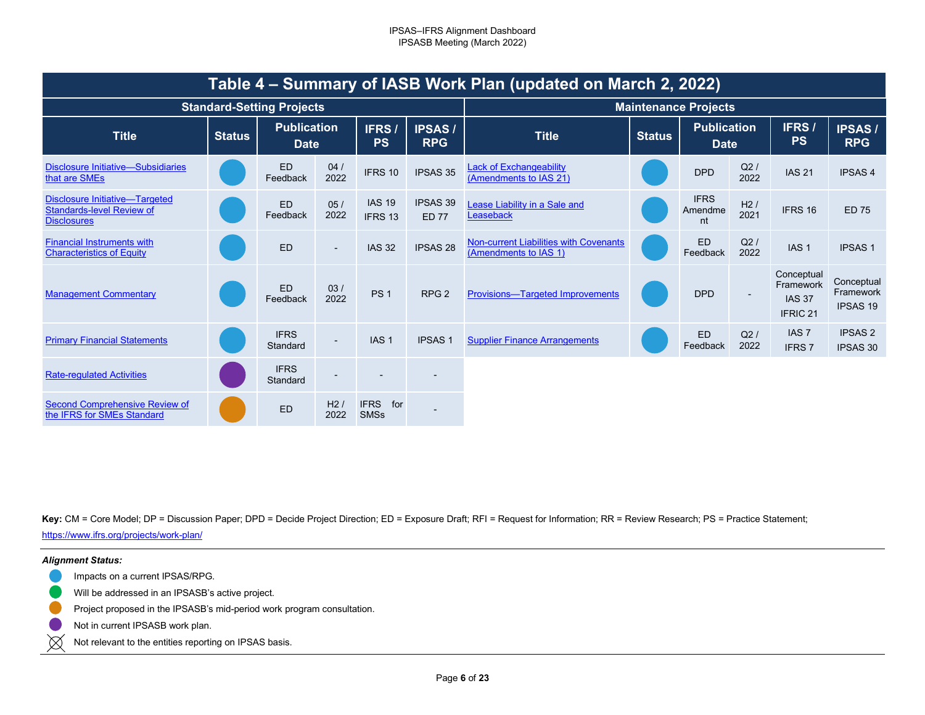<span id="page-5-0"></span>

| Table 4 – Summary of IASB Work Plan (updated on March 2, 2022)                                  |               |                                   |                          |                                   |                                 |                                                                 |                             |                                   |             |                                                                 |                                            |  |
|-------------------------------------------------------------------------------------------------|---------------|-----------------------------------|--------------------------|-----------------------------------|---------------------------------|-----------------------------------------------------------------|-----------------------------|-----------------------------------|-------------|-----------------------------------------------------------------|--------------------------------------------|--|
|                                                                                                 |               | <b>Standard-Setting Projects</b>  |                          |                                   |                                 |                                                                 | <b>Maintenance Projects</b> |                                   |             |                                                                 |                                            |  |
| <b>Title</b>                                                                                    | <b>Status</b> | <b>Publication</b><br><b>Date</b> |                          | IFRS/<br><b>PS</b>                | <b>IPSAS/</b><br><b>RPG</b>     | <b>Title</b>                                                    | <b>Status</b>               | <b>Publication</b><br><b>Date</b> |             | IFRS /<br><b>PS</b>                                             | <b>IPSAS/</b><br><b>RPG</b>                |  |
| Disclosure Initiative—Subsidiaries<br>that are SMEs                                             |               | ED<br>Feedback                    | 04/<br>2022              | IFRS 10                           | IPSAS 35                        | <b>Lack of Exchangeability</b><br>(Amendments to IAS 21)        |                             | <b>DPD</b>                        | Q2/<br>2022 | <b>IAS 21</b>                                                   | <b>IPSAS4</b>                              |  |
| <b>Disclosure Initiative-Targeted</b><br><b>Standards-level Review of</b><br><b>Disclosures</b> |               | <b>ED</b><br>Feedback             | 05/<br>2022              | <b>IAS 19</b><br>IFRS 13          | <b>IPSAS 39</b><br><b>ED 77</b> | Lease Liability in a Sale and<br>Leaseback                      |                             | <b>IFRS</b><br>Amendme<br>nt      | H2/<br>2021 | IFRS 16                                                         | <b>ED 75</b>                               |  |
| <b>Financial Instruments with</b><br><b>Characteristics of Equity</b>                           |               | ED                                | $\overline{\phantom{a}}$ | <b>IAS 32</b>                     | <b>IPSAS 28</b>                 | Non-current Liabilities with Covenants<br>(Amendments to IAS 1) |                             | <b>ED</b><br>Feedback             | Q2/<br>2022 | IAS <sub>1</sub>                                                | <b>IPSAS1</b>                              |  |
| <b>Management Commentary</b>                                                                    |               | ED<br>Feedback                    | 03/<br>2022              | PS <sub>1</sub>                   | RPG <sub>2</sub>                | <b>Provisions-Targeted Improvements</b>                         |                             | <b>DPD</b>                        |             | Conceptual<br>Framework<br><b>IAS 37</b><br>IFRIC <sub>21</sub> | Conceptual<br>Framework<br><b>IPSAS 19</b> |  |
| <b>Primary Financial Statements</b>                                                             |               | <b>IFRS</b><br>Standard           | $\overline{\phantom{0}}$ | IAS <sub>1</sub>                  | <b>IPSAS1</b>                   | <b>Supplier Finance Arrangements</b>                            |                             | <b>ED</b><br>Feedback             | Q2/<br>2022 | IAS <sub>7</sub><br><b>IFRS7</b>                                | <b>IPSAS 2</b><br><b>IPSAS 30</b>          |  |
| <b>Rate-regulated Activities</b>                                                                |               | <b>IFRS</b><br>Standard           | $\overline{\phantom{0}}$ |                                   |                                 |                                                                 |                             |                                   |             |                                                                 |                                            |  |
| Second Comprehensive Review of<br>the IFRS for SMEs Standard                                    |               | <b>ED</b>                         | H2/<br>2022              | <b>IFRS</b><br>for<br><b>SMSs</b> |                                 |                                                                 |                             |                                   |             |                                                                 |                                            |  |

Key: CM = Core Model; DP = Discussion Paper; DPD = Decide Project Direction; ED = Exposure Draft; RFI = Request for Information; RR = Review Research; PS = Practice Statement; [https://www](https://www.ifrs.org/projects/work-plan/).[ifrs](https://www.ifrs.org/projects/work-plan/).[org/projects/work](https://www.ifrs.org/projects/work-plan/)-[plan/](https://www.ifrs.org/projects/work-plan/)

#### *Alignment Status:*

- Impacts on a current IPSAS/RPG.
- Will be addressed in an IPSASB's active project.
- Project proposed in the IPSASB's mid-period work program consultation.
- Not in current IPSASB work plan.
- $\boxtimes$ Not relevant to the entities reporting on IPSAS basis.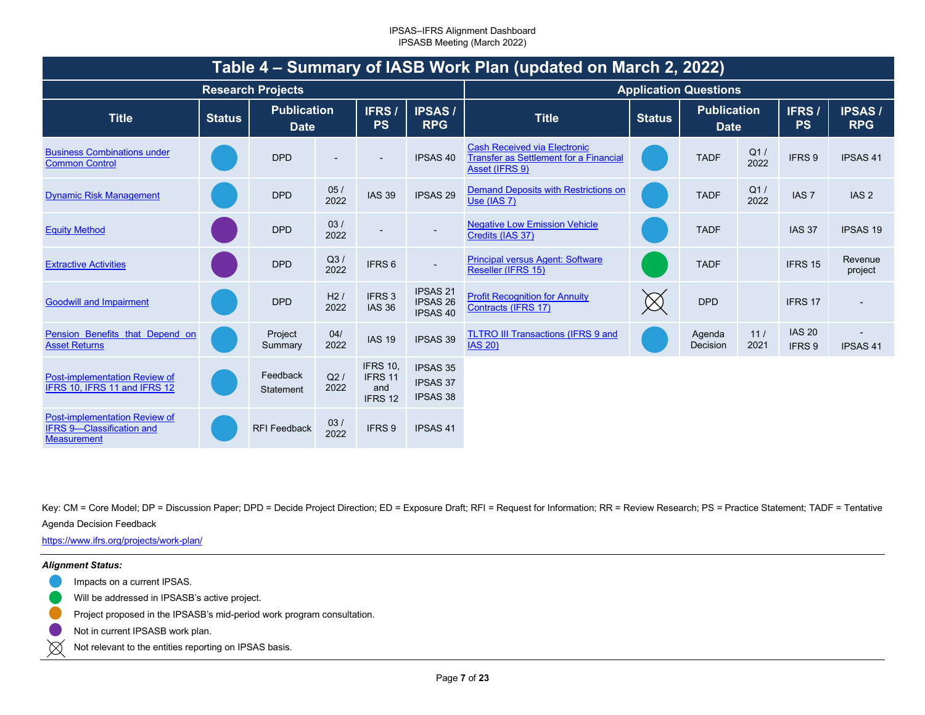| Table 4 – Summary of IASB Work Plan (updated on March 2, 2022)                          |               |                                   |             |                                              |                                                       |                                                                                                 |                              |                                   |             |                         |                             |  |
|-----------------------------------------------------------------------------------------|---------------|-----------------------------------|-------------|----------------------------------------------|-------------------------------------------------------|-------------------------------------------------------------------------------------------------|------------------------------|-----------------------------------|-------------|-------------------------|-----------------------------|--|
|                                                                                         |               | <b>Research Projects</b>          |             |                                              |                                                       |                                                                                                 | <b>Application Questions</b> |                                   |             |                         |                             |  |
| <b>Title</b>                                                                            | <b>Status</b> | <b>Publication</b><br><b>Date</b> |             | IFRS/<br><b>PS</b>                           | <b>IPSAS/</b><br><b>RPG</b>                           | <b>Title</b>                                                                                    | <b>Status</b>                | <b>Publication</b><br><b>Date</b> |             | IFRS/<br><b>PS</b>      | <b>IPSAS/</b><br><b>RPG</b> |  |
| <b>Business Combinations under</b><br><b>Common Control</b>                             |               | <b>DPD</b>                        |             |                                              | <b>IPSAS 40</b>                                       | <b>Cash Received via Electronic</b><br>Transfer as Settlement for a Financial<br>Asset (IFRS 9) |                              | <b>TADF</b>                       | Q1/<br>2022 | IFRS 9                  | <b>IPSAS 41</b>             |  |
| <b>Dynamic Risk Management</b>                                                          |               | <b>DPD</b>                        | 05/<br>2022 | <b>IAS 39</b>                                | IPSAS <sub>29</sub>                                   | <b>Demand Deposits with Restrictions on</b><br>Use (IAS 7)                                      |                              | <b>TADF</b>                       | Q1/<br>2022 | IAS <sub>7</sub>        | IAS <sub>2</sub>            |  |
| <b>Equity Method</b>                                                                    |               | <b>DPD</b>                        | 03/<br>2022 |                                              | $\overline{\phantom{a}}$                              | <b>Negative Low Emission Vehicle</b><br>Credits (IAS 37)                                        |                              | <b>TADF</b>                       |             | <b>IAS 37</b>           | <b>IPSAS 19</b>             |  |
| <b>Extractive Activities</b>                                                            |               | <b>DPD</b>                        | Q3/<br>2022 | IFRS <sub>6</sub>                            | $\overline{\phantom{a}}$                              | <b>Principal versus Agent: Software</b><br>Reseller (IFRS 15)                                   |                              | <b>TADF</b>                       |             | IFRS 15                 | Revenue<br>project          |  |
| <b>Goodwill and Impairment</b>                                                          |               | <b>DPD</b>                        | H2/<br>2022 | IFRS <sub>3</sub><br><b>IAS 36</b>           | <b>IPSAS 21</b><br><b>IPSAS 26</b><br><b>IPSAS 40</b> | <b>Profit Recognition for Annuity</b><br>Contracts (IFRS 17)                                    |                              | <b>DPD</b>                        |             | IFRS 17                 |                             |  |
| Pension Benefits that Depend on<br><b>Asset Returns</b>                                 |               | Project<br>Summary                | 04/<br>2022 | <b>IAS 19</b>                                | IPSAS 39                                              | <b>TLTRO III Transactions (IFRS 9 and</b><br><b>IAS 20)</b>                                     |                              | Agenda<br>Decision                | 11/<br>2021 | <b>IAS 20</b><br>IFRS 9 | <b>IPSAS 41</b>             |  |
| Post-implementation Review of<br>IFRS 10, IFRS 11 and IFRS 12                           |               | Feedback<br>Statement             | Q2/<br>2022 | <b>IFRS 10.</b><br>IFRS 11<br>and<br>IFRS 12 | <b>IPSAS 35</b><br><b>IPSAS 37</b><br><b>IPSAS 38</b> |                                                                                                 |                              |                                   |             |                         |                             |  |
| Post-implementation Review of<br><b>IFRS 9-Classification and</b><br><b>Measurement</b> |               | RFI Feedback                      | 03/<br>2022 | IFRS 9                                       | <b>IPSAS 41</b>                                       |                                                                                                 |                              |                                   |             |                         |                             |  |

Key: CM = Core Model; DP = Discussion Paper; DPD = Decide Project Direction; ED = Exposure Draft; RFI = Request for Information; RR = Review Research; PS = Practice Statement; TADF = Tentative

Agenda Decision Feedback

[https://www](https://www.ifrs.org/projects/work-plan/).[ifrs](https://www.ifrs.org/projects/work-plan/).[org/projects/work](https://www.ifrs.org/projects/work-plan/)-[plan/](https://www.ifrs.org/projects/work-plan/)

#### *Alignment Status:*

- Impacts on a current IPSAS.
- Will be addressed in IPSASB's active project.
- Project proposed in the IPSASB's mid-period work program consultation.
- Not in current IPSASB work plan.
- $\boxtimes$ Not relevant to the entities reporting on IPSAS basis.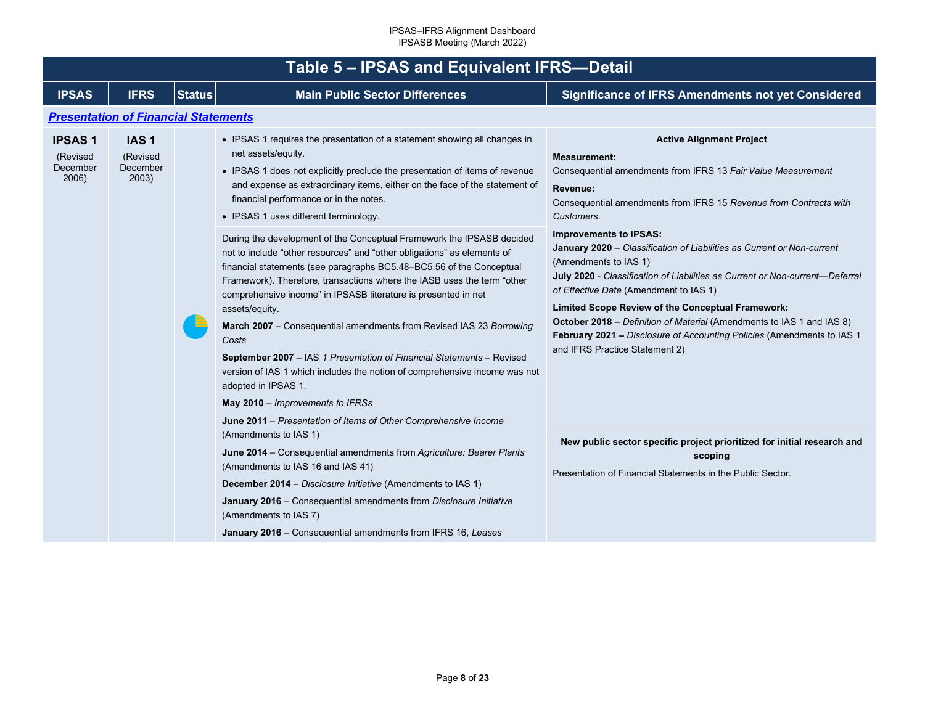<span id="page-7-1"></span><span id="page-7-0"></span>

|                                                | Table 5 - IPSAS and Equivalent IFRS-Detail        |               |                                                                                                                                                                                                                                                                                                                                                                                                                                                                                                                                                                                                                                                                                                                                                              |                                                                                                                                                                                                                                                                                                                                                                                                                                                                                                      |  |  |  |  |  |  |  |
|------------------------------------------------|---------------------------------------------------|---------------|--------------------------------------------------------------------------------------------------------------------------------------------------------------------------------------------------------------------------------------------------------------------------------------------------------------------------------------------------------------------------------------------------------------------------------------------------------------------------------------------------------------------------------------------------------------------------------------------------------------------------------------------------------------------------------------------------------------------------------------------------------------|------------------------------------------------------------------------------------------------------------------------------------------------------------------------------------------------------------------------------------------------------------------------------------------------------------------------------------------------------------------------------------------------------------------------------------------------------------------------------------------------------|--|--|--|--|--|--|--|
| <b>IPSAS</b>                                   | <b>IFRS</b>                                       | <b>Status</b> | <b>Main Public Sector Differences</b>                                                                                                                                                                                                                                                                                                                                                                                                                                                                                                                                                                                                                                                                                                                        | <b>Significance of IFRS Amendments not yet Considered</b>                                                                                                                                                                                                                                                                                                                                                                                                                                            |  |  |  |  |  |  |  |
|                                                | <b>Presentation of Financial Statements</b>       |               |                                                                                                                                                                                                                                                                                                                                                                                                                                                                                                                                                                                                                                                                                                                                                              |                                                                                                                                                                                                                                                                                                                                                                                                                                                                                                      |  |  |  |  |  |  |  |
| <b>IPSAS1</b><br>(Revised<br>December<br>2006) | IAS <sub>1</sub><br>(Revised<br>December<br>2003) |               | • IPSAS 1 requires the presentation of a statement showing all changes in<br>net assets/equity.<br>• IPSAS 1 does not explicitly preclude the presentation of items of revenue<br>and expense as extraordinary items, either on the face of the statement of<br>financial performance or in the notes.<br>• IPSAS 1 uses different terminology.                                                                                                                                                                                                                                                                                                                                                                                                              | <b>Active Alignment Project</b><br><b>Measurement:</b><br>Consequential amendments from IFRS 13 Fair Value Measurement<br>Revenue:<br>Consequential amendments from IFRS 15 Revenue from Contracts with<br>Customers.                                                                                                                                                                                                                                                                                |  |  |  |  |  |  |  |
|                                                |                                                   |               | During the development of the Conceptual Framework the IPSASB decided<br>not to include "other resources" and "other obligations" as elements of<br>financial statements (see paragraphs BC5.48-BC5.56 of the Conceptual<br>Framework). Therefore, transactions where the IASB uses the term "other<br>comprehensive income" in IPSASB literature is presented in net<br>assets/equity.<br>March 2007 - Consequential amendments from Revised IAS 23 Borrowing<br>Costs<br>September 2007 - IAS 1 Presentation of Financial Statements - Revised<br>version of IAS 1 which includes the notion of comprehensive income was not<br>adopted in IPSAS 1.<br>May 2010 - Improvements to IFRSs<br>June 2011 – Presentation of Items of Other Comprehensive Income | <b>Improvements to IPSAS:</b><br>January 2020 - Classification of Liabilities as Current or Non-current<br>(Amendments to IAS 1)<br>July 2020 - Classification of Liabilities as Current or Non-current-Deferral<br>of Effective Date (Amendment to IAS 1)<br>Limited Scope Review of the Conceptual Framework:<br>October 2018 - Definition of Material (Amendments to IAS 1 and IAS 8)<br>February 2021 - Disclosure of Accounting Policies (Amendments to IAS 1<br>and IFRS Practice Statement 2) |  |  |  |  |  |  |  |
|                                                |                                                   |               | (Amendments to IAS 1)<br>June 2014 - Consequential amendments from Agriculture: Bearer Plants<br>(Amendments to IAS 16 and IAS 41)<br>December 2014 - Disclosure Initiative (Amendments to IAS 1)<br>January 2016 - Consequential amendments from Disclosure Initiative<br>(Amendments to IAS 7)<br>January 2016 - Consequential amendments from IFRS 16, Leases                                                                                                                                                                                                                                                                                                                                                                                             | New public sector specific project prioritized for initial research and<br>scoping<br>Presentation of Financial Statements in the Public Sector.                                                                                                                                                                                                                                                                                                                                                     |  |  |  |  |  |  |  |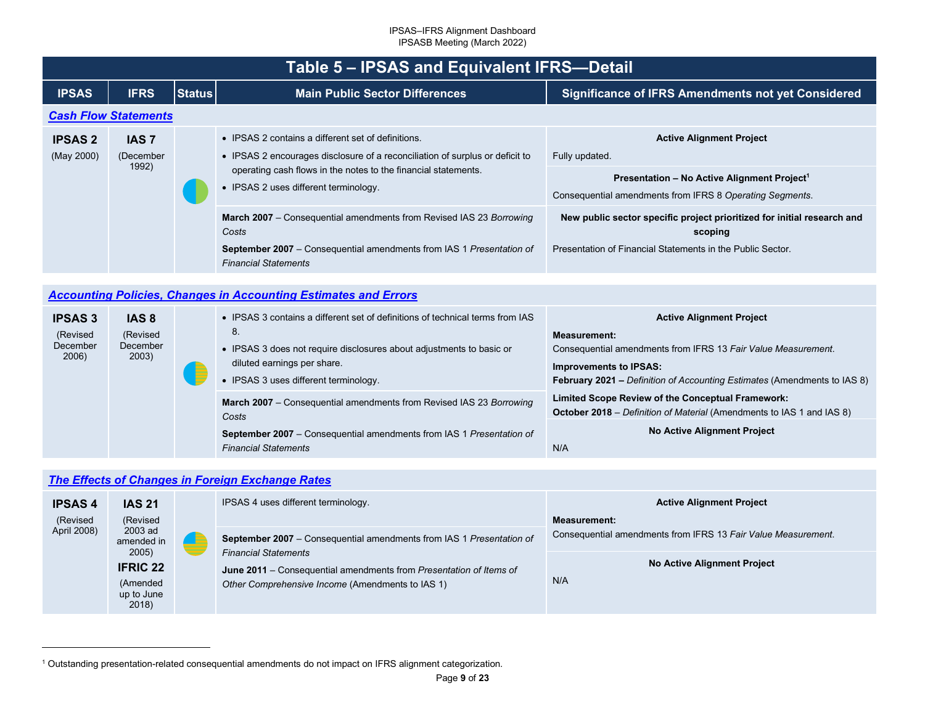<span id="page-8-3"></span><span id="page-8-2"></span>

|                                                 | <b>Table 5 - IPSAS and Equivalent IFRS-Detail</b> |               |                                                                                                                                                                                                                                                                                                                                                                                                                                             |                                                                                                                                                                                                                                                                                                                              |  |  |  |  |  |
|-------------------------------------------------|---------------------------------------------------|---------------|---------------------------------------------------------------------------------------------------------------------------------------------------------------------------------------------------------------------------------------------------------------------------------------------------------------------------------------------------------------------------------------------------------------------------------------------|------------------------------------------------------------------------------------------------------------------------------------------------------------------------------------------------------------------------------------------------------------------------------------------------------------------------------|--|--|--|--|--|
| <b>IPSAS</b>                                    | <b>IFRS</b>                                       | <b>Status</b> | <b>Main Public Sector Differences</b>                                                                                                                                                                                                                                                                                                                                                                                                       | Significance of IFRS Amendments not yet Considered                                                                                                                                                                                                                                                                           |  |  |  |  |  |
| <b>Cash Flow Statements</b>                     |                                                   |               |                                                                                                                                                                                                                                                                                                                                                                                                                                             |                                                                                                                                                                                                                                                                                                                              |  |  |  |  |  |
| <b>IPSAS 2</b><br>(May 2000)                    | <b>IAS 7</b><br>(December<br>1992)                |               | • IPSAS 2 contains a different set of definitions.<br>• IPSAS 2 encourages disclosure of a reconciliation of surplus or deficit to<br>operating cash flows in the notes to the financial statements.<br>• IPSAS 2 uses different terminology.<br>March 2007 - Consequential amendments from Revised IAS 23 Borrowing<br>Costs<br><b>September 2007</b> – Consequential amendments from IAS 1 Presentation of<br><b>Financial Statements</b> | <b>Active Alignment Project</b><br>Fully updated.<br>Presentation - No Active Alignment Project <sup>1</sup><br>Consequential amendments from IFRS 8 Operating Segments.<br>New public sector specific project prioritized for initial research and<br>scoping<br>Presentation of Financial Statements in the Public Sector. |  |  |  |  |  |
|                                                 |                                                   |               | <b>Accounting Policies, Changes in Accounting Estimates and Errors</b>                                                                                                                                                                                                                                                                                                                                                                      |                                                                                                                                                                                                                                                                                                                              |  |  |  |  |  |
| <b>IPSAS 3</b><br>(Revised<br>December<br>2006) | IAS <sub>8</sub><br>(Revised<br>December<br>2003) |               | • IPSAS 3 contains a different set of definitions of technical terms from IAS<br>8.<br>• IPSAS 3 does not require disclosures about adjustments to basic or                                                                                                                                                                                                                                                                                 | <b>Active Alignment Project</b><br><b>Measurement:</b><br>Consequential amendments from IFRS 13 Fair Value Measurement.                                                                                                                                                                                                      |  |  |  |  |  |

<span id="page-8-1"></span><span id="page-8-0"></span>**Improvements to IPSAS:** 

N/A

**February 2021 –** *Definition of Accounting Estimates* (Amendments to IAS 8)

**No Active Alignment Project** 

**October 2018** – *Definition of Material* (Amendments to IAS 1 and IAS 8)

**Limited Scope Review of the Conceptual Framework:** 

## *[The Effects of Changes in Foreign Exchange Rates](#page-2-4)*

*Costs*

| <b>IPSAS4</b><br>(Revised | <b>IAS 21</b><br>(Revised                          |  | IPSAS 4 uses different terminology.                                                                                                                                                                                           | <b>Active Alignment Project</b><br><b>Measurement:</b>        |
|---------------------------|----------------------------------------------------|--|-------------------------------------------------------------------------------------------------------------------------------------------------------------------------------------------------------------------------------|---------------------------------------------------------------|
| April 2008)               | 2003 ad<br>amended in<br>2005)                     |  | September 2007 - Consequential amendments from IAS 1 Presentation of<br><b>Financial Statements</b><br>June 2011 – Consequential amendments from Presentation of Items of<br>Other Comprehensive Income (Amendments to IAS 1) | Consequential amendments from IFRS 13 Fair Value Measurement. |
|                           | <b>IFRIC 22</b><br>(Amended<br>up to June<br>2018) |  |                                                                                                                                                                                                                               | No Active Alignment Project<br>N/A                            |

diluted earnings per share. • IPSAS 3 uses different terminology.

*Financial Statements* 

**March 2007** – Consequential amendments from Revised IAS 23 *Borrowing* 

**September 2007** – Consequential amendments from IAS 1 *Presentation of* 

<sup>1</sup> Outstanding presentation-related consequential amendments do not impact on IFRS alignment categorization.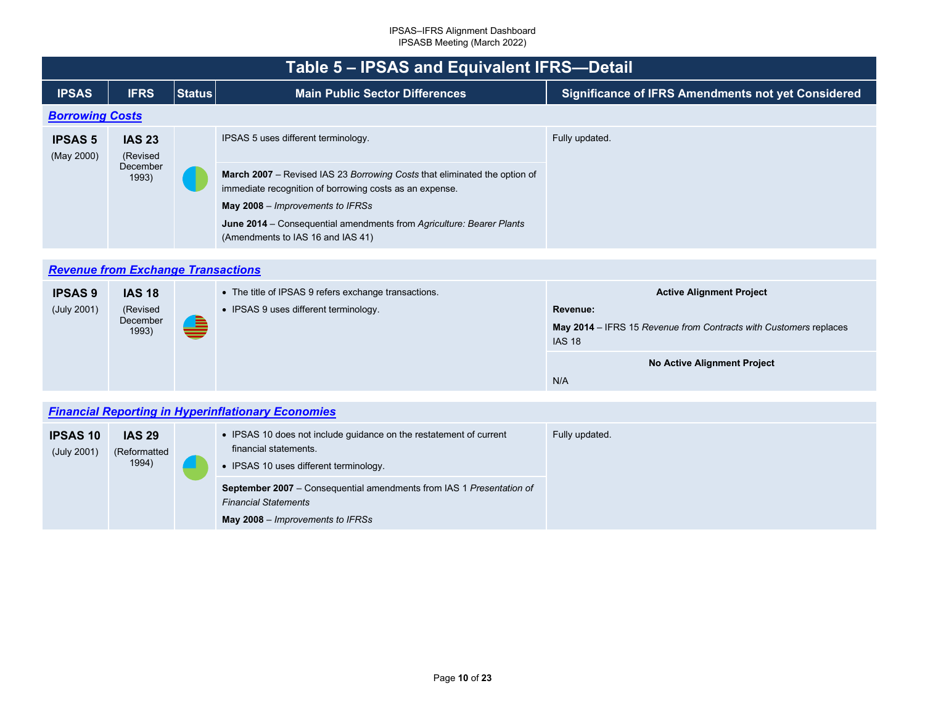<span id="page-9-2"></span><span id="page-9-1"></span><span id="page-9-0"></span>

|                              | Table 5 – IPSAS and Equivalent IFRS-Detail     |               |                                                                                                                                                                                                                                                                                                                              |                                                           |  |  |  |
|------------------------------|------------------------------------------------|---------------|------------------------------------------------------------------------------------------------------------------------------------------------------------------------------------------------------------------------------------------------------------------------------------------------------------------------------|-----------------------------------------------------------|--|--|--|
| <b>IPSAS</b>                 | <b>IFRS</b>                                    | <b>Status</b> | <b>Main Public Sector Differences</b>                                                                                                                                                                                                                                                                                        | <b>Significance of IFRS Amendments not yet Considered</b> |  |  |  |
| <b>Borrowing Costs</b>       |                                                |               |                                                                                                                                                                                                                                                                                                                              |                                                           |  |  |  |
| <b>IPSAS 5</b><br>(May 2000) | <b>IAS 23</b><br>(Revised<br>December<br>1993) |               | IPSAS 5 uses different terminology.<br>March 2007 – Revised IAS 23 Borrowing Costs that eliminated the option of<br>immediate recognition of borrowing costs as an expense.<br>May 2008 – Improvements to IFRSs<br>June 2014 – Consequential amendments from Agriculture: Bearer Plants<br>(Amendments to IAS 16 and IAS 41) | Fully updated.                                            |  |  |  |

## *[Revenue from Exchange Transactions](#page-2-6)*

| <b>IPSAS 9</b> | <b>IAS 18</b>                 |   | • The title of IPSAS 9 refers exchange transactions. | <b>Active Alignment Project</b>                                                    |
|----------------|-------------------------------|---|------------------------------------------------------|------------------------------------------------------------------------------------|
| (July 2001)    | (Revised<br>December<br>1993) |   | • IPSAS 9 uses different terminology.                | Revenue:                                                                           |
|                |                               | ≘ |                                                      | May 2014 – IFRS 15 Revenue from Contracts with Customers replaces<br><b>IAS 18</b> |
|                |                               |   |                                                      | No Active Alignment Project                                                        |
|                |                               |   |                                                      | N/A                                                                                |

## *[Financial Reporting in Hyperinflationary Economies](#page-2-7)*

| <b>IPSAS 10</b><br>(July 2001) | <b>IAS 29</b><br>(Reformatted<br>1994) | • IPSAS 10 does not include guidance on the restatement of current<br>financial statements.<br>• IPSAS 10 uses different terminology.          | Fully updated. |
|--------------------------------|----------------------------------------|------------------------------------------------------------------------------------------------------------------------------------------------|----------------|
|                                |                                        | <b>September 2007</b> – Consequential amendments from IAS 1 Presentation of<br><b>Financial Statements</b><br>May 2008 – Improvements to IFRSs |                |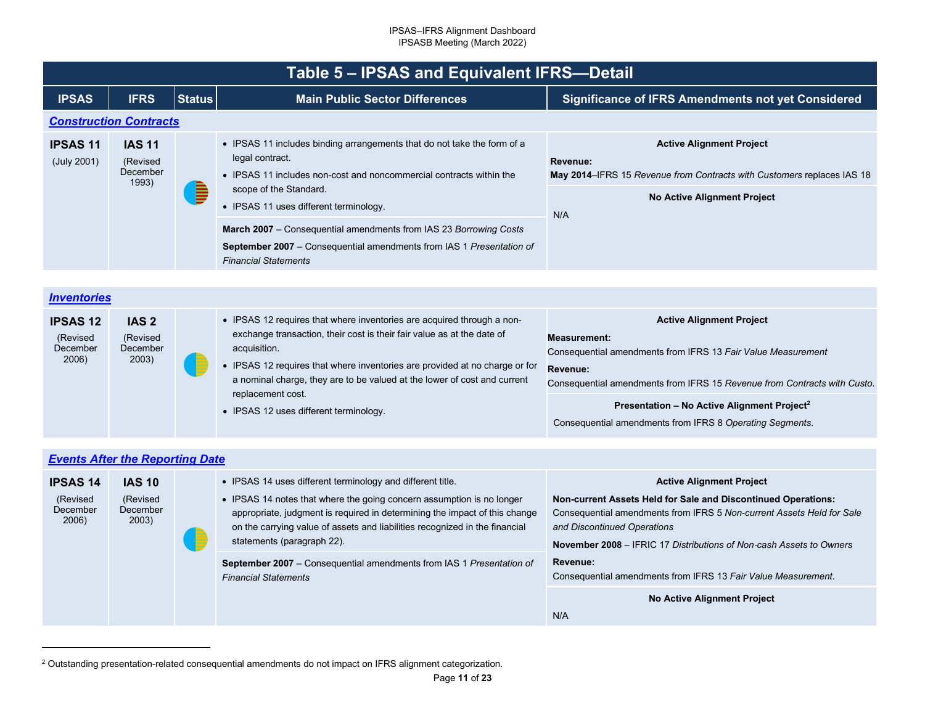<span id="page-10-2"></span><span id="page-10-1"></span><span id="page-10-0"></span>

|                                | Table 5 – IPSAS and Equivalent IFRS-Detail     |               |                                                                                                                                                                                                                                       |                                                                                                                                                                    |  |  |  |
|--------------------------------|------------------------------------------------|---------------|---------------------------------------------------------------------------------------------------------------------------------------------------------------------------------------------------------------------------------------|--------------------------------------------------------------------------------------------------------------------------------------------------------------------|--|--|--|
| <b>IPSAS</b>                   | <b>IFRS</b>                                    | <b>Status</b> | <b>Main Public Sector Differences</b>                                                                                                                                                                                                 | Significance of IFRS Amendments not yet Considered                                                                                                                 |  |  |  |
|                                | <b>Construction Contracts</b>                  |               |                                                                                                                                                                                                                                       |                                                                                                                                                                    |  |  |  |
| <b>IPSAS 11</b><br>(July 2001) | <b>IAS 11</b><br>(Revised<br>December<br>1993) | D             | • IPSAS 11 includes binding arrangements that do not take the form of a<br>legal contract.<br>• IPSAS 11 includes non-cost and noncommercial contracts within the<br>scope of the Standard.<br>• IPSAS 11 uses different terminology. | <b>Active Alignment Project</b><br>Revenue:<br>May 2014–IFRS 15 Revenue from Contracts with Customers replaces IAS 18<br><b>No Active Alignment Project</b><br>N/A |  |  |  |
|                                |                                                |               | March 2007 – Consequential amendments from IAS 23 Borrowing Costs<br><b>September 2007</b> – Consequential amendments from IAS 1 Presentation of<br><b>Financial Statements</b>                                                       |                                                                                                                                                                    |  |  |  |

## *[Inventories](#page-2-9)*

| <b>IPSAS 12</b><br>(Revised<br>December<br>2006) | IAS <sub>2</sub><br>(Revised)<br>December<br>2003) | • IPSAS 12 requires that where inventories are acquired through a non-<br>exchange transaction, their cost is their fair value as at the date of<br>acquisition.<br>• IPSAS 12 requires that where inventories are provided at no charge or for<br>a nominal charge, they are to be valued at the lower of cost and current | <b>Active Alignment Project</b><br>Measurement:<br>Consequential amendments from IFRS 13 Fair Value Measurement<br>Revenue:<br>Consequential amendments from IFRS 15 Revenue from Contracts with Custo. |
|--------------------------------------------------|----------------------------------------------------|-----------------------------------------------------------------------------------------------------------------------------------------------------------------------------------------------------------------------------------------------------------------------------------------------------------------------------|---------------------------------------------------------------------------------------------------------------------------------------------------------------------------------------------------------|
|                                                  |                                                    | replacement cost.<br>• IPSAS 12 uses different terminology.                                                                                                                                                                                                                                                                 | Presentation - No Active Alignment Project <sup>2</sup><br>Consequential amendments from IFRS 8 Operating Segments.                                                                                     |

| <b>Events After the Reporting Date</b>           |                                                |  |                                                                                                                                                                                                                                                                                                                                |                                                                                                                                                                                                                                                                                 |
|--------------------------------------------------|------------------------------------------------|--|--------------------------------------------------------------------------------------------------------------------------------------------------------------------------------------------------------------------------------------------------------------------------------------------------------------------------------|---------------------------------------------------------------------------------------------------------------------------------------------------------------------------------------------------------------------------------------------------------------------------------|
| <b>IPSAS 14</b><br>(Revised<br>December<br>2006) | <b>IAS 10</b><br>(Revised<br>December<br>2003) |  | • IPSAS 14 uses different terminology and different title.<br>• IPSAS 14 notes that where the going concern assumption is no longer<br>appropriate, judgment is required in determining the impact of this change<br>on the carrying value of assets and liabilities recognized in the financial<br>statements (paragraph 22). | <b>Active Alignment Project</b><br>Non-current Assets Held for Sale and Discontinued Operations:<br>Consequential amendments from IFRS 5 Non-current Assets Held for Sale<br>and Discontinued Operations<br>November 2008 – IFRIC 17 Distributions of Non-cash Assets to Owners |
|                                                  |                                                |  | September 2007 - Consequential amendments from IAS 1 Presentation of<br><b>Financial Statements</b>                                                                                                                                                                                                                            | Revenue:<br>Consequential amendments from IFRS 13 Fair Value Measurement.<br>No Active Alignment Project                                                                                                                                                                        |
|                                                  |                                                |  |                                                                                                                                                                                                                                                                                                                                | N/A                                                                                                                                                                                                                                                                             |

<sup>2</sup> Outstanding presentation-related consequential amendments do not impact on IFRS alignment categorization.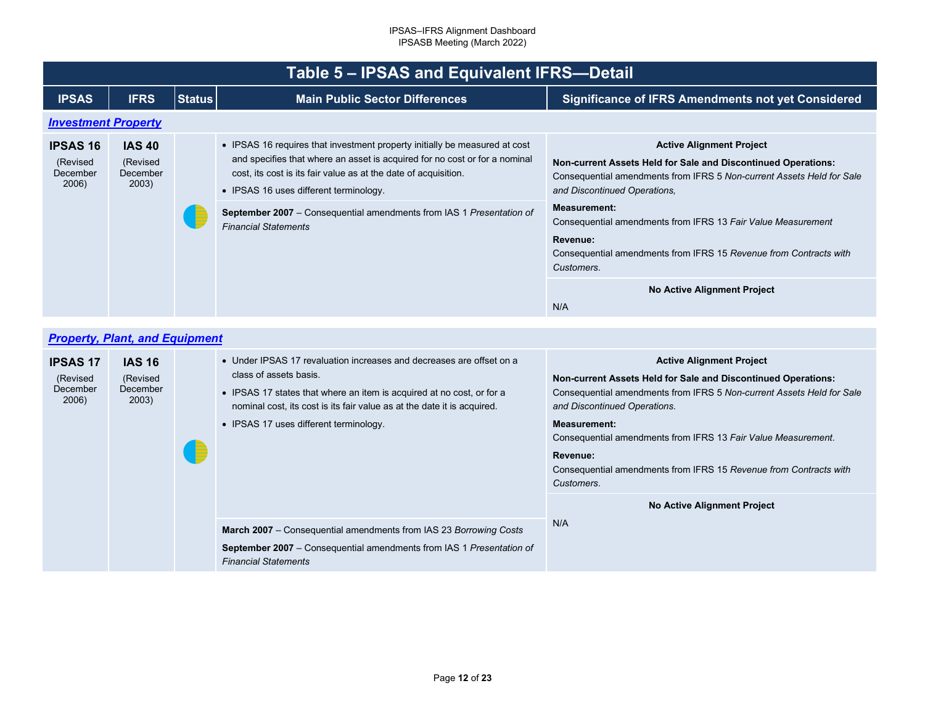<span id="page-11-1"></span><span id="page-11-0"></span>

|                                                  | Table 5 – IPSAS and Equivalent IFRS-Detail     |               |                                                                                                                                                                                                                                                                                                                                                                                     |                                                                                                                                                                                                                                                                                                                                                                                                 |  |  |
|--------------------------------------------------|------------------------------------------------|---------------|-------------------------------------------------------------------------------------------------------------------------------------------------------------------------------------------------------------------------------------------------------------------------------------------------------------------------------------------------------------------------------------|-------------------------------------------------------------------------------------------------------------------------------------------------------------------------------------------------------------------------------------------------------------------------------------------------------------------------------------------------------------------------------------------------|--|--|
| <b>IPSAS</b>                                     | <b>IFRS</b>                                    | <b>Status</b> | <b>Main Public Sector Differences</b>                                                                                                                                                                                                                                                                                                                                               | <b>Significance of IFRS Amendments not yet Considered</b>                                                                                                                                                                                                                                                                                                                                       |  |  |
| <b>Investment Property</b>                       |                                                |               |                                                                                                                                                                                                                                                                                                                                                                                     |                                                                                                                                                                                                                                                                                                                                                                                                 |  |  |
| <b>IPSAS 16</b><br>(Revised<br>December<br>2006) | <b>IAS 40</b><br>(Revised<br>December<br>2003) |               | • IPSAS 16 requires that investment property initially be measured at cost<br>and specifies that where an asset is acquired for no cost or for a nominal<br>cost, its cost is its fair value as at the date of acquisition.<br>• IPSAS 16 uses different terminology.<br><b>September 2007</b> – Consequential amendments from IAS 1 Presentation of<br><b>Financial Statements</b> | <b>Active Alignment Project</b><br>Non-current Assets Held for Sale and Discontinued Operations:<br>Consequential amendments from IFRS 5 Non-current Assets Held for Sale<br>and Discontinued Operations.<br><b>Measurement:</b><br>Consequential amendments from IFRS 13 Fair Value Measurement<br>Revenue:<br>Consequential amendments from IFRS 15 Revenue from Contracts with<br>Customers. |  |  |
|                                                  |                                                |               |                                                                                                                                                                                                                                                                                                                                                                                     | No Active Alignment Project<br>N/A                                                                                                                                                                                                                                                                                                                                                              |  |  |

## *[Property, Plant, and Equipment](#page-2-12)*

| <b>IPSAS 17</b><br>(Revised<br>December<br>2006) | <b>IAS 16</b><br>(Revised<br>December<br>2003) | - E | • Under IPSAS 17 revaluation increases and decreases are offset on a<br>class of assets basis.<br>• IPSAS 17 states that where an item is acquired at no cost, or for a<br>nominal cost, its cost is its fair value as at the date it is acquired.<br>• IPSAS 17 uses different terminology. | <b>Active Alignment Project</b><br><b>Non-current Assets Held for Sale and Discontinued Operations:</b><br>Consequential amendments from IFRS 5 Non-current Assets Held for Sale<br>and Discontinued Operations.<br><b>Measurement:</b><br>Consequential amendments from IFRS 13 Fair Value Measurement.<br>Revenue:<br>Consequential amendments from IFRS 15 Revenue from Contracts with<br>Customers.<br>No Active Alignment Project |
|--------------------------------------------------|------------------------------------------------|-----|----------------------------------------------------------------------------------------------------------------------------------------------------------------------------------------------------------------------------------------------------------------------------------------------|----------------------------------------------------------------------------------------------------------------------------------------------------------------------------------------------------------------------------------------------------------------------------------------------------------------------------------------------------------------------------------------------------------------------------------------|
|                                                  |                                                |     | <b>March 2007</b> – Consequential amendments from IAS 23 Borrowing Costs<br><b>September 2007</b> – Consequential amendments from IAS 1 Presentation of<br><b>Financial Statements</b>                                                                                                       | N/A                                                                                                                                                                                                                                                                                                                                                                                                                                    |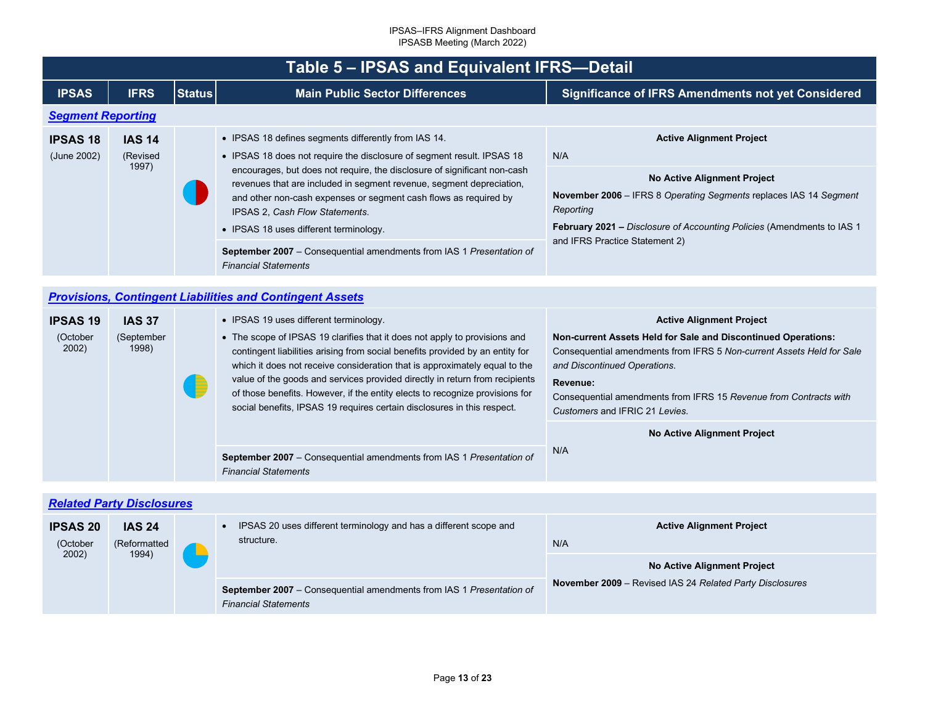<span id="page-12-2"></span><span id="page-12-1"></span><span id="page-12-0"></span>

|                                | Table 5 - IPSAS and Equivalent IFRS-Detail |               |                                                                                                                                                                                                                                                                                                                                                                                                                                                                                                                                           |                                                                                                                                                                                                                                                                                           |  |
|--------------------------------|--------------------------------------------|---------------|-------------------------------------------------------------------------------------------------------------------------------------------------------------------------------------------------------------------------------------------------------------------------------------------------------------------------------------------------------------------------------------------------------------------------------------------------------------------------------------------------------------------------------------------|-------------------------------------------------------------------------------------------------------------------------------------------------------------------------------------------------------------------------------------------------------------------------------------------|--|
| <b>IPSAS</b>                   | <b>IFRS</b>                                | <b>Status</b> | <b>Main Public Sector Differences</b>                                                                                                                                                                                                                                                                                                                                                                                                                                                                                                     | Significance of IFRS Amendments not yet Considered                                                                                                                                                                                                                                        |  |
| <b>Segment Reporting</b>       |                                            |               |                                                                                                                                                                                                                                                                                                                                                                                                                                                                                                                                           |                                                                                                                                                                                                                                                                                           |  |
| <b>IPSAS 18</b><br>(June 2002) | <b>IAS 14</b><br>(Revised<br>1997)         |               | • IPSAS 18 defines segments differently from IAS 14.<br>• IPSAS 18 does not require the disclosure of segment result. IPSAS 18<br>encourages, but does not require, the disclosure of significant non-cash<br>revenues that are included in segment revenue, segment depreciation,<br>and other non-cash expenses or segment cash flows as required by<br>IPSAS 2, Cash Flow Statements.<br>• IPSAS 18 uses different terminology.<br>September 2007 - Consequential amendments from IAS 1 Presentation of<br><b>Financial Statements</b> | <b>Active Alignment Project</b><br>N/A<br><b>No Active Alignment Project</b><br>November 2006 - IFRS 8 Operating Segments replaces IAS 14 Segment<br>Reporting<br>February 2021 - Disclosure of Accounting Policies (Amendments to IAS 1<br>and IFRS Practice Statement 2)                |  |
|                                |                                            |               |                                                                                                                                                                                                                                                                                                                                                                                                                                                                                                                                           |                                                                                                                                                                                                                                                                                           |  |
|                                |                                            |               | <b>Provisions, Contingent Liabilities and Contingent Assets</b>                                                                                                                                                                                                                                                                                                                                                                                                                                                                           |                                                                                                                                                                                                                                                                                           |  |
| <b>IPSAS 19</b>                | <b>IAS 37</b>                              |               | • IPSAS 19 uses different terminology.                                                                                                                                                                                                                                                                                                                                                                                                                                                                                                    | <b>Active Alignment Project</b>                                                                                                                                                                                                                                                           |  |
| (October<br>2002)              | (September<br>1998)                        |               | • The scope of IPSAS 19 clarifies that it does not apply to provisions and<br>contingent liabilities arising from social benefits provided by an entity for<br>which it does not receive consideration that is approximately equal to the<br>value of the goods and services provided directly in return from recipients<br>of those benefits. However, if the entity elects to recognize provisions for<br>social benefits, IPSAS 19 requires certain disclosures in this respect.                                                       | Non-current Assets Held for Sale and Discontinued Operations:<br>Consequential amendments from IFRS 5 Non-current Assets Held for Sale<br>and Discontinued Operations.<br>Revenue:<br>Consequential amendments from IFRS 15 Revenue from Contracts with<br>Customers and IFRIC 21 Levies. |  |
|                                |                                            |               |                                                                                                                                                                                                                                                                                                                                                                                                                                                                                                                                           | No Active Alignment Project                                                                                                                                                                                                                                                               |  |
|                                |                                            |               | September 2007 - Consequential amendments from IAS 1 Presentation of<br><b>Financial Statements</b>                                                                                                                                                                                                                                                                                                                                                                                                                                       | N/A                                                                                                                                                                                                                                                                                       |  |
|                                |                                            |               |                                                                                                                                                                                                                                                                                                                                                                                                                                                                                                                                           |                                                                                                                                                                                                                                                                                           |  |
|                                | <b>Related Party Disclosures</b>           |               |                                                                                                                                                                                                                                                                                                                                                                                                                                                                                                                                           |                                                                                                                                                                                                                                                                                           |  |
| <b>IPSAS 20</b><br>(October    | <b>IAS 24</b><br>(Reformatted              |               | IPSAS 20 uses different terminology and has a different scope and<br>$\bullet$<br>structure.                                                                                                                                                                                                                                                                                                                                                                                                                                              | <b>Active Alignment Project</b><br>N/A                                                                                                                                                                                                                                                    |  |
| 2002)                          | 1994)                                      |               |                                                                                                                                                                                                                                                                                                                                                                                                                                                                                                                                           | No Active Alignment Project                                                                                                                                                                                                                                                               |  |
|                                |                                            |               | September 2007 - Consequential amendments from IAS 1 Presentation of<br><b>Financial Statements</b>                                                                                                                                                                                                                                                                                                                                                                                                                                       | <b>November 2009</b> – Revised IAS 24 Related Party Disclosures                                                                                                                                                                                                                           |  |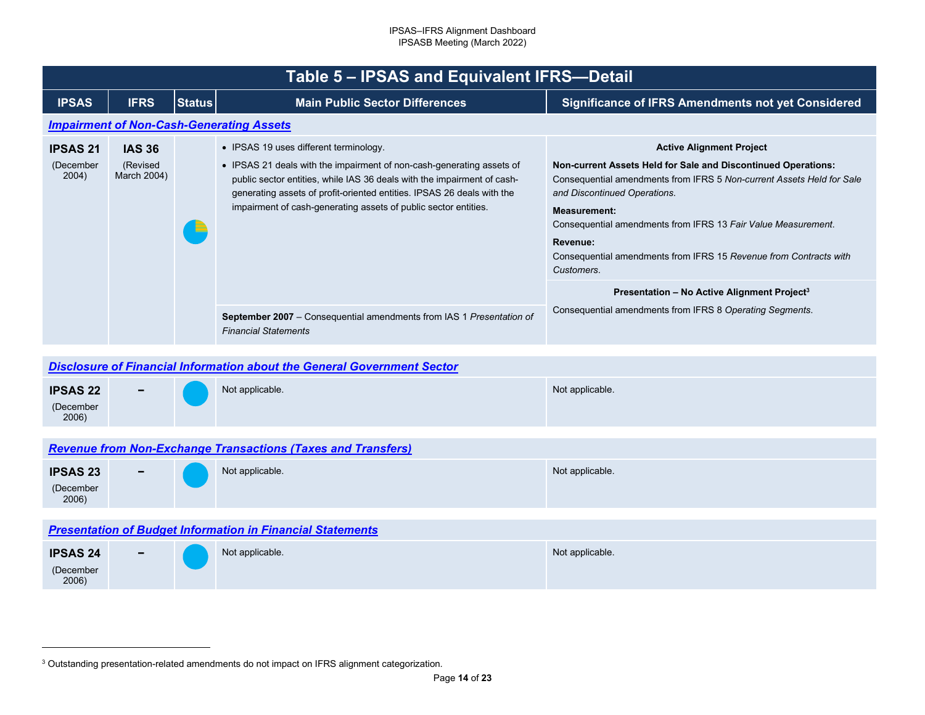<span id="page-13-4"></span><span id="page-13-3"></span><span id="page-13-2"></span><span id="page-13-1"></span><span id="page-13-0"></span>

|                                       | Table 5 - IPSAS and Equivalent IFRS-Detail                                     |               |                                                                                                                                                                                                                                                                                                                                         |                                                                                                                                                                                                                                                                                                                                                                                                                                                             |  |  |
|---------------------------------------|--------------------------------------------------------------------------------|---------------|-----------------------------------------------------------------------------------------------------------------------------------------------------------------------------------------------------------------------------------------------------------------------------------------------------------------------------------------|-------------------------------------------------------------------------------------------------------------------------------------------------------------------------------------------------------------------------------------------------------------------------------------------------------------------------------------------------------------------------------------------------------------------------------------------------------------|--|--|
| <b>IPSAS</b>                          | <b>IFRS</b>                                                                    | <b>Status</b> | <b>Main Public Sector Differences</b>                                                                                                                                                                                                                                                                                                   | <b>Significance of IFRS Amendments not yet Considered</b>                                                                                                                                                                                                                                                                                                                                                                                                   |  |  |
|                                       |                                                                                |               | <b>Impairment of Non-Cash-Generating Assets</b>                                                                                                                                                                                                                                                                                         |                                                                                                                                                                                                                                                                                                                                                                                                                                                             |  |  |
| <b>IPSAS 21</b><br>(December<br>2004) | <b>IAS 36</b><br>(Revised<br>March 2004)                                       |               | • IPSAS 19 uses different terminology.<br>• IPSAS 21 deals with the impairment of non-cash-generating assets of<br>public sector entities, while IAS 36 deals with the impairment of cash-<br>generating assets of profit-oriented entities. IPSAS 26 deals with the<br>impairment of cash-generating assets of public sector entities. | <b>Active Alignment Project</b><br>Non-current Assets Held for Sale and Discontinued Operations:<br>Consequential amendments from IFRS 5 Non-current Assets Held for Sale<br>and Discontinued Operations.<br><b>Measurement:</b><br>Consequential amendments from IFRS 13 Fair Value Measurement.<br>Revenue:<br>Consequential amendments from IFRS 15 Revenue from Contracts with<br>Customers.<br>Presentation - No Active Alignment Project <sup>3</sup> |  |  |
|                                       |                                                                                |               | <b>September 2007</b> – Consequential amendments from IAS 1 Presentation of<br><b>Financial Statements</b>                                                                                                                                                                                                                              | Consequential amendments from IFRS 8 Operating Segments.                                                                                                                                                                                                                                                                                                                                                                                                    |  |  |
|                                       |                                                                                |               |                                                                                                                                                                                                                                                                                                                                         |                                                                                                                                                                                                                                                                                                                                                                                                                                                             |  |  |
|                                       | <b>Disclosure of Financial Information about the General Government Sector</b> |               |                                                                                                                                                                                                                                                                                                                                         |                                                                                                                                                                                                                                                                                                                                                                                                                                                             |  |  |
| <b>IPSAS 22</b><br>(December          |                                                                                |               | Not applicable.                                                                                                                                                                                                                                                                                                                         | Not applicable.                                                                                                                                                                                                                                                                                                                                                                                                                                             |  |  |

## *[Revenue from Non-Exchange Transactions \(Taxes and Transfers\)](#page-2-18)*

| <b>IPSAS 23</b><br>(December<br>2006) | $\sim$ | Not applicable. | Not applicable. |
|---------------------------------------|--------|-----------------|-----------------|
|                                       |        |                 |                 |

### *[Presentation of Budget Information in Financial Statements](#page-2-19)*

2006)

| <b>IPSAS 24</b>    | $\overline{\phantom{0}}$ | Not applicable. | Not applicable. |
|--------------------|--------------------------|-----------------|-----------------|
| (December<br>2006) |                          |                 |                 |

<sup>3</sup> Outstanding presentation-related amendments do not impact on IFRS alignment categorization.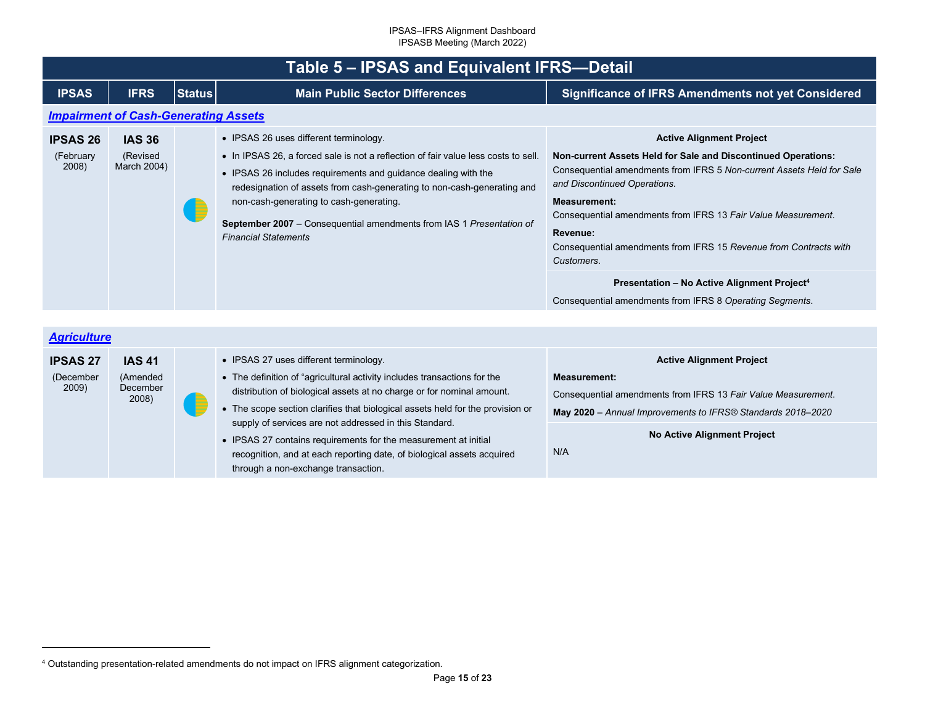<span id="page-14-2"></span><span id="page-14-1"></span><span id="page-14-0"></span>

|                                       | Table 5 - IPSAS and Equivalent IFRS-Detail     |               |                                                                                                                                                                                                                                                                                                                                                                                                                             |                                                                                                                                                                                                                                                                                                                                                                                                  |  |  |  |
|---------------------------------------|------------------------------------------------|---------------|-----------------------------------------------------------------------------------------------------------------------------------------------------------------------------------------------------------------------------------------------------------------------------------------------------------------------------------------------------------------------------------------------------------------------------|--------------------------------------------------------------------------------------------------------------------------------------------------------------------------------------------------------------------------------------------------------------------------------------------------------------------------------------------------------------------------------------------------|--|--|--|
| <b>IPSAS</b>                          | <b>IFRS</b>                                    | <b>Status</b> | <b>Main Public Sector Differences</b>                                                                                                                                                                                                                                                                                                                                                                                       | <b>Significance of IFRS Amendments not yet Considered</b>                                                                                                                                                                                                                                                                                                                                        |  |  |  |
|                                       | <b>Impairment of Cash-Generating Assets</b>    |               |                                                                                                                                                                                                                                                                                                                                                                                                                             |                                                                                                                                                                                                                                                                                                                                                                                                  |  |  |  |
| <b>IPSAS 26</b><br>(February<br>2008) | <b>IAS 36</b><br>(Revised<br>March 2004)       |               | • IPSAS 26 uses different terminology.<br>• In IPSAS 26, a forced sale is not a reflection of fair value less costs to sell.<br>• IPSAS 26 includes requirements and guidance dealing with the<br>redesignation of assets from cash-generating to non-cash-generating and<br>non-cash-generating to cash-generating.<br>September 2007 - Consequential amendments from IAS 1 Presentation of<br><b>Financial Statements</b> | <b>Active Alignment Project</b><br>Non-current Assets Held for Sale and Discontinued Operations:<br>Consequential amendments from IFRS 5 Non-current Assets Held for Sale<br>and Discontinued Operations.<br><b>Measurement:</b><br>Consequential amendments from IFRS 13 Fair Value Measurement.<br>Revenue:<br>Consequential amendments from IFRS 15 Revenue from Contracts with<br>Customers. |  |  |  |
|                                       |                                                |               |                                                                                                                                                                                                                                                                                                                                                                                                                             | Presentation - No Active Alignment Project <sup>4</sup><br>Consequential amendments from IFRS 8 Operating Segments.                                                                                                                                                                                                                                                                              |  |  |  |
|                                       |                                                |               |                                                                                                                                                                                                                                                                                                                                                                                                                             |                                                                                                                                                                                                                                                                                                                                                                                                  |  |  |  |
| <b>Agriculture</b>                    |                                                |               |                                                                                                                                                                                                                                                                                                                                                                                                                             |                                                                                                                                                                                                                                                                                                                                                                                                  |  |  |  |
| <b>IPSAS 27</b><br>(December<br>2009) | <b>IAS 41</b><br>(Amended<br>December<br>2008) |               | • IPSAS 27 uses different terminology.<br>• The definition of "agricultural activity includes transactions for the<br>distribution of biological assets at no charge or for nominal amount.<br>• The scope section clarifies that biological assets held for the provision or<br>supply of services are not addressed in this Standard.                                                                                     | <b>Active Alignment Project</b><br><b>Measurement:</b><br>Consequential amendments from IFRS 13 Fair Value Measurement.<br>May 2020 - Annual Improvements to IFRS® Standards 2018-2020                                                                                                                                                                                                           |  |  |  |
|                                       |                                                |               | • IPSAS 27 contains requirements for the measurement at initial<br>recognition, and at each reporting date, of biological assets acquired<br>through a non-exchange transaction.                                                                                                                                                                                                                                            | No Active Alignment Project<br>N/A                                                                                                                                                                                                                                                                                                                                                               |  |  |  |
|                                       |                                                |               | 4 Outstanding presentation-related amendments do not impact on IFRS alignment categorization.                                                                                                                                                                                                                                                                                                                               |                                                                                                                                                                                                                                                                                                                                                                                                  |  |  |  |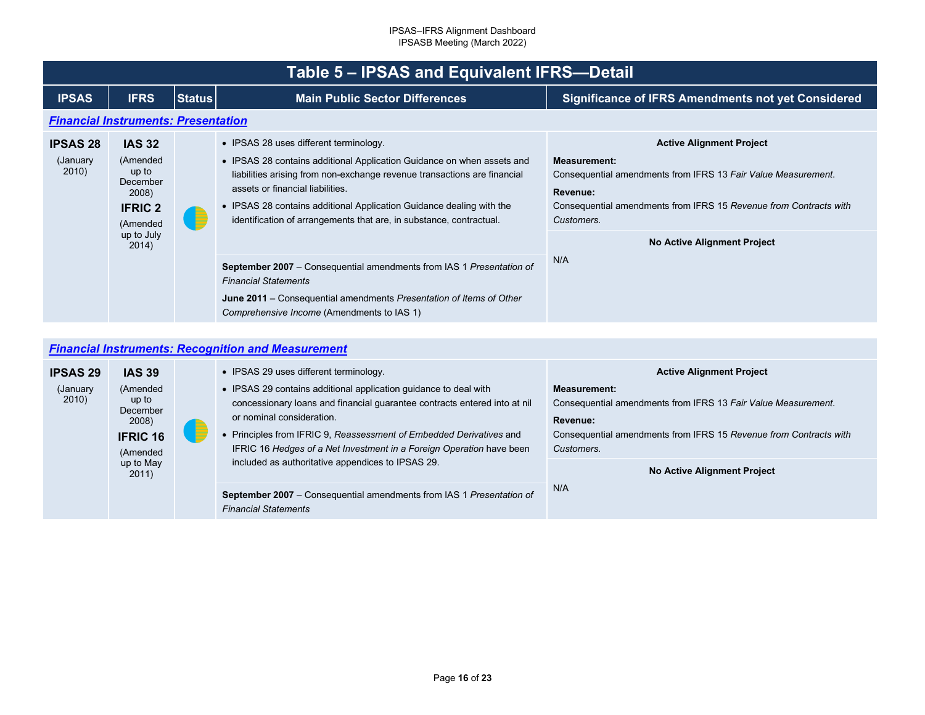<span id="page-15-1"></span><span id="page-15-0"></span>

|                                       | Table 5 - IPSAS and Equivalent IFRS-Detail                                                                   |               |                                                                                                                                                                                                                                                                                                                                                                                 |                                                                                                                                                                                                                                                       |  |  |  |
|---------------------------------------|--------------------------------------------------------------------------------------------------------------|---------------|---------------------------------------------------------------------------------------------------------------------------------------------------------------------------------------------------------------------------------------------------------------------------------------------------------------------------------------------------------------------------------|-------------------------------------------------------------------------------------------------------------------------------------------------------------------------------------------------------------------------------------------------------|--|--|--|
| <b>IPSAS</b>                          | <b>IFRS</b>                                                                                                  | <b>Status</b> | <b>Main Public Sector Differences</b>                                                                                                                                                                                                                                                                                                                                           | <b>Significance of IFRS Amendments not yet Considered</b>                                                                                                                                                                                             |  |  |  |
|                                       | <b>Financial Instruments: Presentation</b>                                                                   |               |                                                                                                                                                                                                                                                                                                                                                                                 |                                                                                                                                                                                                                                                       |  |  |  |
| <b>IPSAS 28</b><br>(January)<br>2010) | <b>IAS 32</b><br>(Amended<br>up to<br>December<br>2008)<br><b>IFRIC 2</b><br>(Amended<br>up to July<br>2014) | Æ             | • IPSAS 28 uses different terminology.<br>• IPSAS 28 contains additional Application Guidance on when assets and<br>liabilities arising from non-exchange revenue transactions are financial<br>assets or financial liabilities.<br>• IPSAS 28 contains additional Application Guidance dealing with the<br>identification of arrangements that are, in substance, contractual. | <b>Active Alignment Project</b><br><b>Measurement:</b><br>Consequential amendments from IFRS 13 Fair Value Measurement.<br>Revenue:<br>Consequential amendments from IFRS 15 Revenue from Contracts with<br>Customers.<br>No Active Alignment Project |  |  |  |
|                                       |                                                                                                              |               | <b>September 2007</b> – Consequential amendments from IAS 1 Presentation of<br><b>Financial Statements</b><br><b>June 2011</b> – Consequential amendments Presentation of Items of Other<br>Comprehensive Income (Amendments to IAS 1)                                                                                                                                          | N/A                                                                                                                                                                                                                                                   |  |  |  |

## *[Financial Instruments: Recognition and Measurement](#page-2-23)*

| <b>IPSAS 29</b>    | <b>IAS 39</b>                                                         |   | • IPSAS 29 uses different terminology.                                                                                                                                                                                                                                                                                                                                         | <b>Active Alignment Project</b>                                                                                                                                                     |
|--------------------|-----------------------------------------------------------------------|---|--------------------------------------------------------------------------------------------------------------------------------------------------------------------------------------------------------------------------------------------------------------------------------------------------------------------------------------------------------------------------------|-------------------------------------------------------------------------------------------------------------------------------------------------------------------------------------|
| (January)<br>2010) | (Amended<br>up to<br>December<br>2008)<br><b>IFRIC 16</b><br>(Amended | E | • IPSAS 29 contains additional application guidance to deal with<br>concessionary loans and financial guarantee contracts entered into at nil<br>or nominal consideration.<br>• Principles from IFRIC 9, Reassessment of Embedded Derivatives and<br>IFRIC 16 Hedges of a Net Investment in a Foreign Operation have been<br>included as authoritative appendices to IPSAS 29. | <b>Measurement:</b><br>Consequential amendments from IFRS 13 Fair Value Measurement.<br>Revenue:<br>Consequential amendments from IFRS 15 Revenue from Contracts with<br>Customers. |
|                    | up to May<br>2011)                                                    |   |                                                                                                                                                                                                                                                                                                                                                                                | <b>No Active Alignment Project</b>                                                                                                                                                  |
|                    |                                                                       |   | September 2007 - Consequential amendments from IAS 1 Presentation of<br><b>Financial Statements</b>                                                                                                                                                                                                                                                                            | N/A                                                                                                                                                                                 |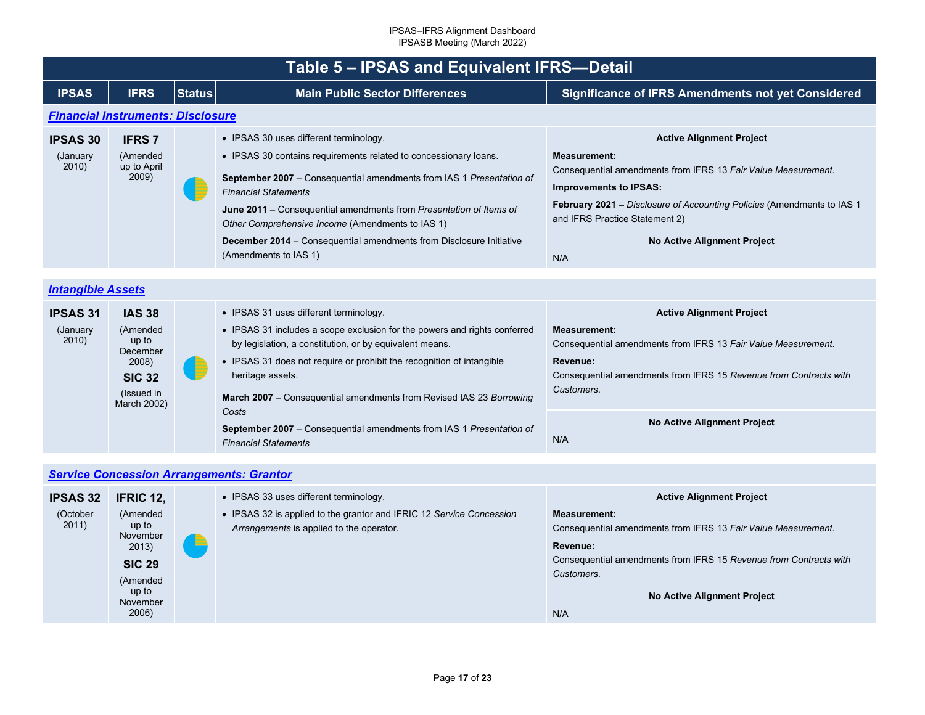<span id="page-16-2"></span><span id="page-16-1"></span><span id="page-16-0"></span>

|                                      | Table 5 - IPSAS and Equivalent IFRS-Detail                                                            |               |                                                                                                                                                                                                                                                                                                                                                                                                                                                                           |                                                                                                                                                                                                                                                                                                                   |  |  |
|--------------------------------------|-------------------------------------------------------------------------------------------------------|---------------|---------------------------------------------------------------------------------------------------------------------------------------------------------------------------------------------------------------------------------------------------------------------------------------------------------------------------------------------------------------------------------------------------------------------------------------------------------------------------|-------------------------------------------------------------------------------------------------------------------------------------------------------------------------------------------------------------------------------------------------------------------------------------------------------------------|--|--|
| <b>IPSAS</b>                         | <b>IFRS</b>                                                                                           | <b>Status</b> | <b>Main Public Sector Differences</b>                                                                                                                                                                                                                                                                                                                                                                                                                                     | <b>Significance of IFRS Amendments not yet Considered</b>                                                                                                                                                                                                                                                         |  |  |
|                                      | <b>Financial Instruments: Disclosure</b>                                                              |               |                                                                                                                                                                                                                                                                                                                                                                                                                                                                           |                                                                                                                                                                                                                                                                                                                   |  |  |
| <b>IPSAS 30</b><br>(January<br>2010) | <b>IFRS7</b><br>(Amended<br>up to April<br>2009)                                                      |               | • IPSAS 30 uses different terminology.<br>• IPSAS 30 contains requirements related to concessionary loans.<br>September 2007 - Consequential amendments from IAS 1 Presentation of<br><b>Financial Statements</b><br>June 2011 - Consequential amendments from Presentation of Items of<br>Other Comprehensive Income (Amendments to IAS 1)<br><b>December 2014</b> – Consequential amendments from Disclosure Initiative                                                 | <b>Active Alignment Project</b><br><b>Measurement:</b><br>Consequential amendments from IFRS 13 Fair Value Measurement.<br><b>Improvements to IPSAS:</b><br><b>February 2021 – Disclosure of Accounting Policies (Amendments to IAS 1</b><br>and IFRS Practice Statement 2)<br><b>No Active Alignment Project</b> |  |  |
|                                      |                                                                                                       |               | (Amendments to IAS 1)                                                                                                                                                                                                                                                                                                                                                                                                                                                     | N/A                                                                                                                                                                                                                                                                                                               |  |  |
| <b>Intangible Assets</b>             |                                                                                                       |               |                                                                                                                                                                                                                                                                                                                                                                                                                                                                           |                                                                                                                                                                                                                                                                                                                   |  |  |
| <b>IPSAS 31</b><br>(January<br>2010) | <b>IAS 38</b><br>(Amended<br>up to<br>December<br>2008)<br><b>SIC 32</b><br>(Issued in<br>March 2002) |               | • IPSAS 31 uses different terminology.<br>• IPSAS 31 includes a scope exclusion for the powers and rights conferred<br>by legislation, a constitution, or by equivalent means.<br>• IPSAS 31 does not require or prohibit the recognition of intangible<br>heritage assets.<br>March 2007 - Consequential amendments from Revised IAS 23 Borrowing<br>Costs<br><b>September 2007</b> – Consequential amendments from IAS 1 Presentation of<br><b>Financial Statements</b> | <b>Active Alignment Project</b><br><b>Measurement:</b><br>Consequential amendments from IFRS 13 Fair Value Measurement.<br>Revenue:<br>Consequential amendments from IFRS 15 Revenue from Contracts with<br>Customers.<br><b>No Active Alignment Project</b><br>N/A                                               |  |  |
|                                      |                                                                                                       |               |                                                                                                                                                                                                                                                                                                                                                                                                                                                                           |                                                                                                                                                                                                                                                                                                                   |  |  |
|                                      |                                                                                                       |               | <b>Service Concession Arrangements: Grantor</b>                                                                                                                                                                                                                                                                                                                                                                                                                           |                                                                                                                                                                                                                                                                                                                   |  |  |
| IDCAC 22                             | <b>IEDIC 12</b>                                                                                       |               | $\bullet$ IPSAS 33 uses different terminology                                                                                                                                                                                                                                                                                                                                                                                                                             | Active Alianment Project                                                                                                                                                                                                                                                                                          |  |  |

| <b>IPSAS 32</b>   | <b>IFRIC 12,</b>                                                    |   | • IPSAS 33 uses different terminology.                                                                           | <b>Active Alignment Project</b>                                                                                                                                                     |
|-------------------|---------------------------------------------------------------------|---|------------------------------------------------------------------------------------------------------------------|-------------------------------------------------------------------------------------------------------------------------------------------------------------------------------------|
| (October<br>2011) | (Amended<br>up to<br>November<br>2013)<br><b>SIC 29</b><br>(Amended | ▝ | • IPSAS 32 is applied to the grantor and IFRIC 12 Service Concession<br>Arrangements is applied to the operator. | <b>Measurement:</b><br>Consequential amendments from IFRS 13 Fair Value Measurement.<br>Revenue:<br>Consequential amendments from IFRS 15 Revenue from Contracts with<br>Customers. |
|                   | up to<br>November<br>2006)                                          |   |                                                                                                                  | No Active Alignment Project<br>N/A                                                                                                                                                  |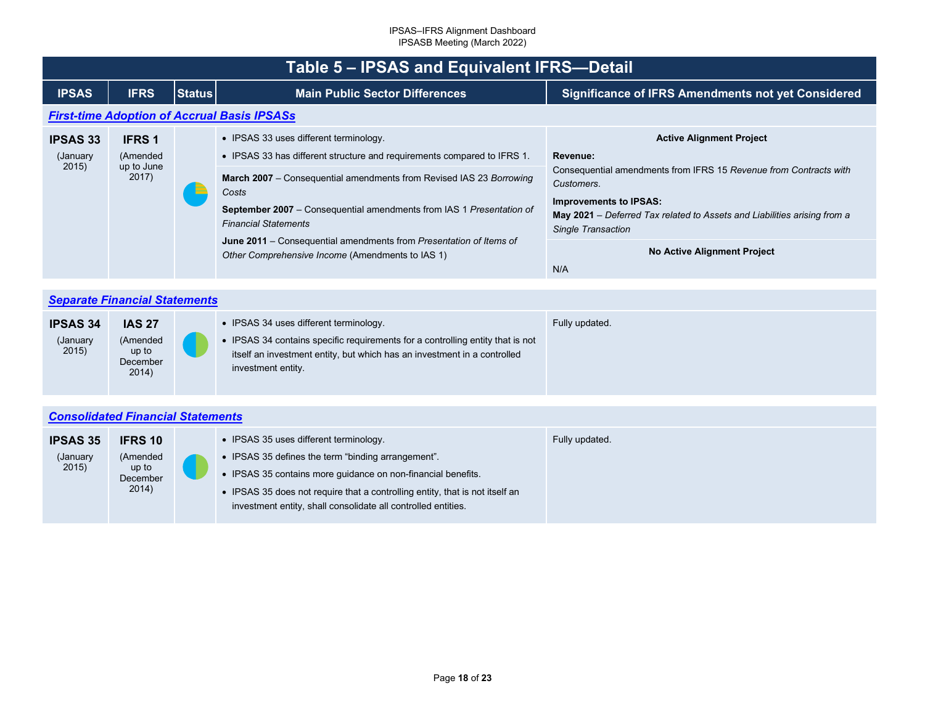<span id="page-17-2"></span><span id="page-17-1"></span><span id="page-17-0"></span>

|                                       | Table 5 – IPSAS and Equivalent IFRS-Detail       |               |                                                                                                                                                                                                                                                                                                                                                                                                                                                  |                                                                                                                                                                                                                                                                                                                       |  |  |  |
|---------------------------------------|--------------------------------------------------|---------------|--------------------------------------------------------------------------------------------------------------------------------------------------------------------------------------------------------------------------------------------------------------------------------------------------------------------------------------------------------------------------------------------------------------------------------------------------|-----------------------------------------------------------------------------------------------------------------------------------------------------------------------------------------------------------------------------------------------------------------------------------------------------------------------|--|--|--|
| <b>IPSAS</b>                          | <b>IFRS</b>                                      | <b>Status</b> | <b>Main Public Sector Differences</b>                                                                                                                                                                                                                                                                                                                                                                                                            | <b>Significance of IFRS Amendments not yet Considered</b>                                                                                                                                                                                                                                                             |  |  |  |
|                                       |                                                  |               | <b>First-time Adoption of Accrual Basis IPSASs</b>                                                                                                                                                                                                                                                                                                                                                                                               |                                                                                                                                                                                                                                                                                                                       |  |  |  |
| <b>IPSAS 33</b><br>(January)<br>2015) | <b>IFRS 1</b><br>(Amended<br>up to June<br>2017) |               | • IPSAS 33 uses different terminology.<br>• IPSAS 33 has different structure and requirements compared to IFRS 1.<br><b>March 2007</b> – Consequential amendments from Revised IAS 23 Borrowing<br>Costs<br><b>September 2007</b> – Consequential amendments from IAS 1 Presentation of<br><b>Financial Statements</b><br>June 2011 – Consequential amendments from Presentation of Items of<br>Other Comprehensive Income (Amendments to IAS 1) | <b>Active Alignment Project</b><br>Revenue:<br>Consequential amendments from IFRS 15 Revenue from Contracts with<br>Customers.<br><b>Improvements to IPSAS:</b><br>May 2021 – Deferred Tax related to Assets and Liabilities arising from a<br><b>Single Transaction</b><br><b>No Active Alignment Project</b><br>N/A |  |  |  |

|                                      | <b>Separate Financial Statements</b>                    |  |                                                                                                                                                                                                                            |                |  |
|--------------------------------------|---------------------------------------------------------|--|----------------------------------------------------------------------------------------------------------------------------------------------------------------------------------------------------------------------------|----------------|--|
| <b>IPSAS 34</b><br>(January<br>2015) | <b>IAS 27</b><br>(Amended<br>up to<br>December<br>2014) |  | • IPSAS 34 uses different terminology.<br>• IPSAS 34 contains specific requirements for a controlling entity that is not<br>itself an investment entity, but which has an investment in a controlled<br>investment entity. | Fully updated. |  |

| <b>IPSAS 35</b>   | <b>IFRS 10</b>                         | • IPSAS 35 uses different terminology.                                                                                                                                                                                                                              | Fully updated. |
|-------------------|----------------------------------------|---------------------------------------------------------------------------------------------------------------------------------------------------------------------------------------------------------------------------------------------------------------------|----------------|
| (January<br>2015) | (Amended<br>up to<br>December<br>2014) | • IPSAS 35 defines the term "binding arrangement".<br>• IPSAS 35 contains more guidance on non-financial benefits.<br>• IPSAS 35 does not require that a controlling entity, that is not itself an<br>investment entity, shall consolidate all controlled entities. |                |
|                   |                                        |                                                                                                                                                                                                                                                                     |                |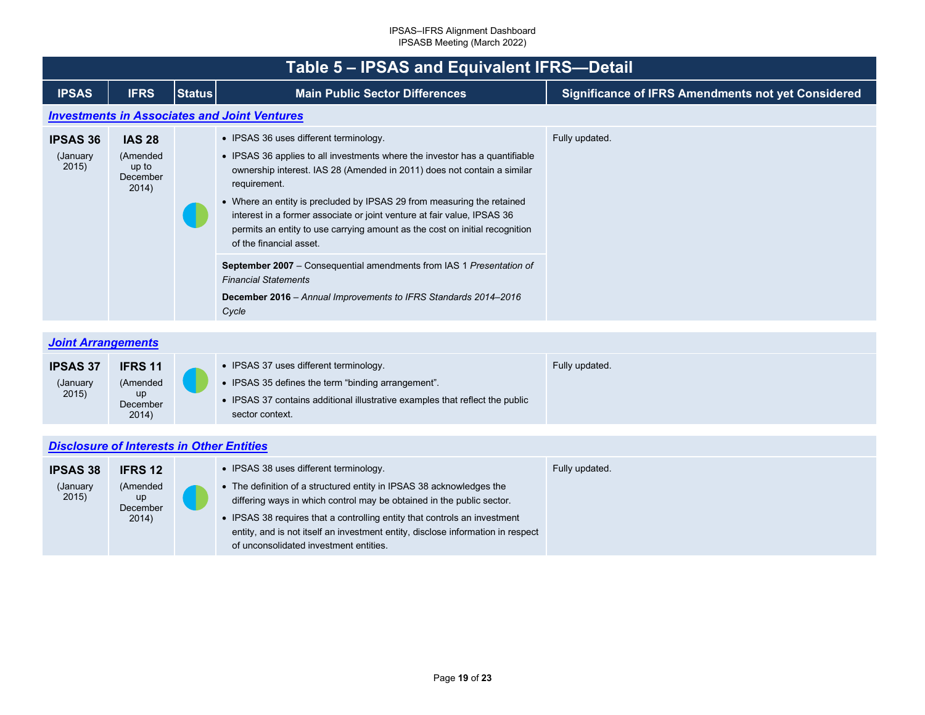<span id="page-18-2"></span><span id="page-18-1"></span><span id="page-18-0"></span>

|                                      | Table 5 - IPSAS and Equivalent IFRS-Detail              |               |                                                                                                                                                                                                                                                                                                                                                                                                                                                                                                                                                                                                                                                                    |                                                           |  |  |
|--------------------------------------|---------------------------------------------------------|---------------|--------------------------------------------------------------------------------------------------------------------------------------------------------------------------------------------------------------------------------------------------------------------------------------------------------------------------------------------------------------------------------------------------------------------------------------------------------------------------------------------------------------------------------------------------------------------------------------------------------------------------------------------------------------------|-----------------------------------------------------------|--|--|
| <b>IPSAS</b>                         | <b>IFRS</b>                                             | <b>Status</b> | <b>Main Public Sector Differences</b>                                                                                                                                                                                                                                                                                                                                                                                                                                                                                                                                                                                                                              | <b>Significance of IFRS Amendments not yet Considered</b> |  |  |
|                                      |                                                         |               | <b>Investments in Associates and Joint Ventures</b>                                                                                                                                                                                                                                                                                                                                                                                                                                                                                                                                                                                                                |                                                           |  |  |
| <b>IPSAS 36</b><br>(January<br>2015) | <b>IAS 28</b><br>(Amended<br>up to<br>December<br>2014) |               | • IPSAS 36 uses different terminology.<br>• IPSAS 36 applies to all investments where the investor has a quantifiable<br>ownership interest. IAS 28 (Amended in 2011) does not contain a similar<br>requirement.<br>• Where an entity is precluded by IPSAS 29 from measuring the retained<br>interest in a former associate or joint venture at fair value, IPSAS 36<br>permits an entity to use carrying amount as the cost on initial recognition<br>of the financial asset.<br>September 2007 - Consequential amendments from IAS 1 Presentation of<br><b>Financial Statements</b><br>December 2016 - Annual Improvements to IFRS Standards 2014-2016<br>Cycle | Fully updated.                                            |  |  |
| <b>Joint Arrangements</b>            |                                                         |               |                                                                                                                                                                                                                                                                                                                                                                                                                                                                                                                                                                                                                                                                    |                                                           |  |  |
| <b>IPSAS 37</b><br>(January<br>2015) | IFRS 11<br>(Amended<br>up<br>December<br>2014)          |               | • IPSAS 37 uses different terminology.<br>• IPSAS 35 defines the term "binding arrangement".<br>• IPSAS 37 contains additional illustrative examples that reflect the public<br>sector context.                                                                                                                                                                                                                                                                                                                                                                                                                                                                    | Fully updated.                                            |  |  |
|                                      | <b>Disclosure of Interests in Other Entities</b>        |               |                                                                                                                                                                                                                                                                                                                                                                                                                                                                                                                                                                                                                                                                    |                                                           |  |  |
| <b>IPSAS 38</b><br>(January<br>2015) | <b>IFRS 12</b><br>(Amended<br>up<br>December<br>2014)   |               | • IPSAS 38 uses different terminology.<br>• The definition of a structured entity in IPSAS 38 acknowledges the<br>differing ways in which control may be obtained in the public sector.<br>• IPSAS 38 requires that a controlling entity that controls an investment<br>entity, and is not itself an investment entity, disclose information in respect                                                                                                                                                                                                                                                                                                            | Fully updated.                                            |  |  |

of unconsolidated investment entities.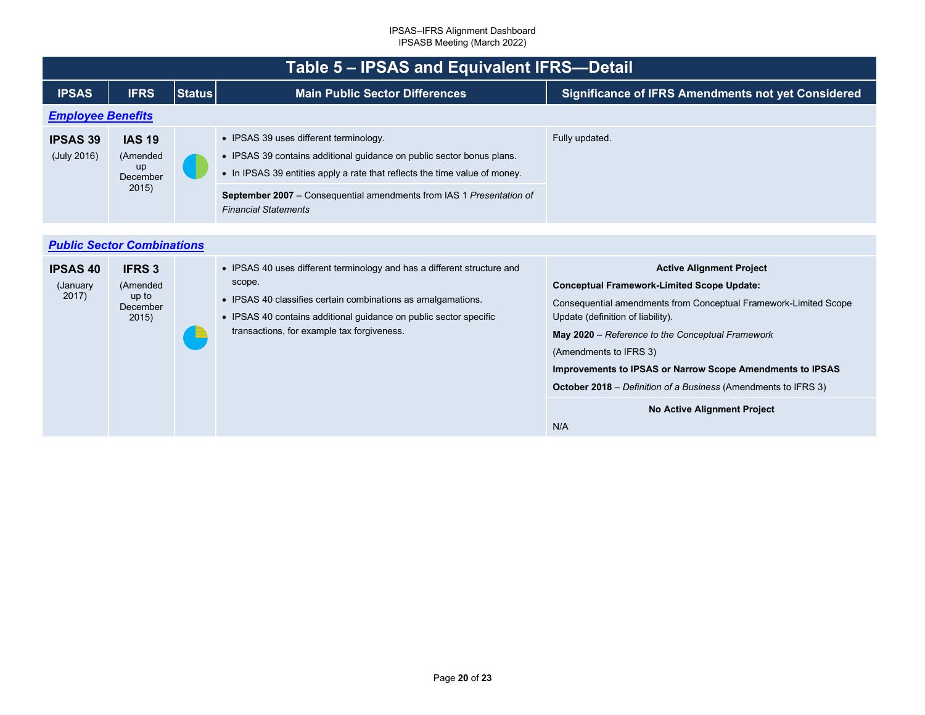<span id="page-19-1"></span><span id="page-19-0"></span>

|                                      | Table 5 - IPSAS and Equivalent IFRS-Detail              |               |                                                                                                                                                                                                                                                                                                             |                                                                                                                                                                                                                                                                                                                                                                                                                   |  |  |
|--------------------------------------|---------------------------------------------------------|---------------|-------------------------------------------------------------------------------------------------------------------------------------------------------------------------------------------------------------------------------------------------------------------------------------------------------------|-------------------------------------------------------------------------------------------------------------------------------------------------------------------------------------------------------------------------------------------------------------------------------------------------------------------------------------------------------------------------------------------------------------------|--|--|
| <b>IPSAS</b>                         | <b>IFRS</b>                                             | <b>Status</b> | <b>Main Public Sector Differences</b>                                                                                                                                                                                                                                                                       | <b>Significance of IFRS Amendments not yet Considered</b>                                                                                                                                                                                                                                                                                                                                                         |  |  |
| <b>Employee Benefits</b>             |                                                         |               |                                                                                                                                                                                                                                                                                                             |                                                                                                                                                                                                                                                                                                                                                                                                                   |  |  |
| <b>IPSAS 39</b><br>(July 2016)       | <b>IAS 19</b><br>(Amended<br>up<br>December<br>2015)    |               | • IPSAS 39 uses different terminology.<br>• IPSAS 39 contains additional guidance on public sector bonus plans.<br>• In IPSAS 39 entities apply a rate that reflects the time value of money.<br><b>September 2007</b> – Consequential amendments from IAS 1 Presentation of<br><b>Financial Statements</b> | Fully updated.                                                                                                                                                                                                                                                                                                                                                                                                    |  |  |
|                                      |                                                         |               |                                                                                                                                                                                                                                                                                                             |                                                                                                                                                                                                                                                                                                                                                                                                                   |  |  |
|                                      | <b>Public Sector Combinations</b>                       |               |                                                                                                                                                                                                                                                                                                             |                                                                                                                                                                                                                                                                                                                                                                                                                   |  |  |
| <b>IPSAS 40</b><br>(January<br>2017) | <b>IFRS 3</b><br>(Amended<br>up to<br>December<br>2015) |               | • IPSAS 40 uses different terminology and has a different structure and<br>scope.<br>• IPSAS 40 classifies certain combinations as amalgamations.<br>• IPSAS 40 contains additional guidance on public sector specific<br>transactions, for example tax forgiveness.                                        | <b>Active Alignment Project</b><br><b>Conceptual Framework-Limited Scope Update:</b><br>Consequential amendments from Conceptual Framework-Limited Scope<br>Update (definition of liability).<br>May 2020 – Reference to the Conceptual Framework<br>(Amendments to IFRS 3)<br>Improvements to IPSAS or Narrow Scope Amendments to IPSAS<br><b>October 2018</b> – Definition of a Business (Amendments to IFRS 3) |  |  |
|                                      |                                                         |               |                                                                                                                                                                                                                                                                                                             | <b>No Active Alignment Project</b><br>N/A                                                                                                                                                                                                                                                                                                                                                                         |  |  |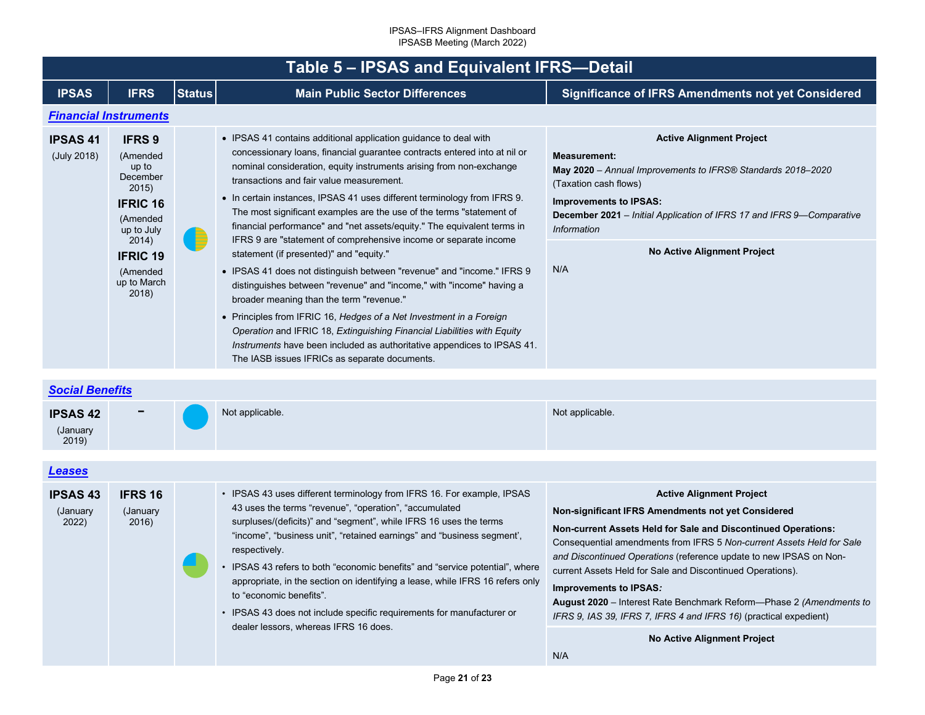<span id="page-20-2"></span><span id="page-20-1"></span><span id="page-20-0"></span>

| Table 5 - IPSAS and Equivalent IFRS-Detail |                                                                                                                                                                      |               |                                                                                                                                                                                                                                                                                                                                                                                                                                                                                                                                                                                                                                                                                                                                                                                                                                                                                                                                                                                                                                                                                            |                                                                                                                                                                                                                                                                                                                             |  |
|--------------------------------------------|----------------------------------------------------------------------------------------------------------------------------------------------------------------------|---------------|--------------------------------------------------------------------------------------------------------------------------------------------------------------------------------------------------------------------------------------------------------------------------------------------------------------------------------------------------------------------------------------------------------------------------------------------------------------------------------------------------------------------------------------------------------------------------------------------------------------------------------------------------------------------------------------------------------------------------------------------------------------------------------------------------------------------------------------------------------------------------------------------------------------------------------------------------------------------------------------------------------------------------------------------------------------------------------------------|-----------------------------------------------------------------------------------------------------------------------------------------------------------------------------------------------------------------------------------------------------------------------------------------------------------------------------|--|
| <b>IPSAS</b>                               | <b>IFRS</b>                                                                                                                                                          | <b>Status</b> | <b>Main Public Sector Differences</b>                                                                                                                                                                                                                                                                                                                                                                                                                                                                                                                                                                                                                                                                                                                                                                                                                                                                                                                                                                                                                                                      | <b>Significance of IFRS Amendments not yet Considered</b>                                                                                                                                                                                                                                                                   |  |
|                                            | <b>Financial Instruments</b>                                                                                                                                         |               |                                                                                                                                                                                                                                                                                                                                                                                                                                                                                                                                                                                                                                                                                                                                                                                                                                                                                                                                                                                                                                                                                            |                                                                                                                                                                                                                                                                                                                             |  |
| <b>IPSAS41</b><br>(July 2018)              | <b>IFRS 9</b><br>(Amended<br>up to<br>December<br>2015)<br><b>IFRIC 16</b><br>(Amended<br>up to July<br>2014)<br><b>IFRIC 19</b><br>(Amended<br>up to March<br>2018) | E             | • IPSAS 41 contains additional application guidance to deal with<br>concessionary loans, financial guarantee contracts entered into at nil or<br>nominal consideration, equity instruments arising from non-exchange<br>transactions and fair value measurement.<br>• In certain instances, IPSAS 41 uses different terminology from IFRS 9.<br>The most significant examples are the use of the terms "statement of<br>financial performance" and "net assets/equity." The equivalent terms in<br>IFRS 9 are "statement of comprehensive income or separate income<br>statement (if presented)" and "equity."<br>• IPSAS 41 does not distinguish between "revenue" and "income." IFRS 9<br>distinguishes between "revenue" and "income," with "income" having a<br>broader meaning than the term "revenue."<br>• Principles from IFRIC 16, Hedges of a Net Investment in a Foreign<br>Operation and IFRIC 18, Extinguishing Financial Liabilities with Equity<br>Instruments have been included as authoritative appendices to IPSAS 41.<br>The IASB issues IFRICs as separate documents. | <b>Active Alignment Project</b><br><b>Measurement:</b><br>May 2020 - Annual Improvements to IFRS® Standards 2018-2020<br>(Taxation cash flows)<br><b>Improvements to IPSAS:</b><br>December 2021 - Initial Application of IFRS 17 and IFRS 9-Comparative<br><b>Information</b><br><b>No Active Alignment Project</b><br>N/A |  |
| <b>Social Benefits</b>                     |                                                                                                                                                                      |               |                                                                                                                                                                                                                                                                                                                                                                                                                                                                                                                                                                                                                                                                                                                                                                                                                                                                                                                                                                                                                                                                                            |                                                                                                                                                                                                                                                                                                                             |  |
| <b>IPSAS 42</b><br>(January<br>2019)       |                                                                                                                                                                      |               | Not applicable.                                                                                                                                                                                                                                                                                                                                                                                                                                                                                                                                                                                                                                                                                                                                                                                                                                                                                                                                                                                                                                                                            | Not applicable.                                                                                                                                                                                                                                                                                                             |  |
| <b>Leases</b>                              |                                                                                                                                                                      |               |                                                                                                                                                                                                                                                                                                                                                                                                                                                                                                                                                                                                                                                                                                                                                                                                                                                                                                                                                                                                                                                                                            |                                                                                                                                                                                                                                                                                                                             |  |
| <b>IPSAS 43</b>                            | <b>IFRS 16</b>                                                                                                                                                       |               | • IPSAS 43 uses different terminology from IFRS 16. For example, IPSAS                                                                                                                                                                                                                                                                                                                                                                                                                                                                                                                                                                                                                                                                                                                                                                                                                                                                                                                                                                                                                     | <b>Active Alignment Project</b>                                                                                                                                                                                                                                                                                             |  |

| 2019                              |                                      |                                                                                                                                                                                                                                                                                                                                                                                                                                                                                                                                                                                                                |                                                                                                                                                                                                                                                                                                                                                                                                                                                                                                                                           |
|-----------------------------------|--------------------------------------|----------------------------------------------------------------------------------------------------------------------------------------------------------------------------------------------------------------------------------------------------------------------------------------------------------------------------------------------------------------------------------------------------------------------------------------------------------------------------------------------------------------------------------------------------------------------------------------------------------------|-------------------------------------------------------------------------------------------------------------------------------------------------------------------------------------------------------------------------------------------------------------------------------------------------------------------------------------------------------------------------------------------------------------------------------------------------------------------------------------------------------------------------------------------|
| eases                             |                                      |                                                                                                                                                                                                                                                                                                                                                                                                                                                                                                                                                                                                                |                                                                                                                                                                                                                                                                                                                                                                                                                                                                                                                                           |
| <b>SAS43</b><br>(January<br>2022) | <b>IFRS 16</b><br>(January)<br>2016) | • IPSAS 43 uses different terminology from IFRS 16. For example, IPSAS<br>43 uses the terms "revenue", "operation", "accumulated<br>surpluses/(deficits)" and "segment", while IFRS 16 uses the terms<br>"income", "business unit", "retained earnings" and "business segment',<br>respectively.<br>• IPSAS 43 refers to both "economic benefits" and "service potential", where<br>appropriate, in the section on identifying a lease, while IFRS 16 refers only<br>to "economic benefits".<br>• IPSAS 43 does not include specific requirements for manufacturer or<br>dealer lessors, whereas IFRS 16 does. | <b>Active Alignment Project</b><br>Non-significant IFRS Amendments not yet Considered<br>Non-current Assets Held for Sale and Discontinued Operations:<br>Consequential amendments from IFRS 5 Non-current Assets Held for Sale<br>and Discontinued Operations (reference update to new IPSAS on Non-<br>current Assets Held for Sale and Discontinued Operations).<br>Improvements to IPSAS:<br>August 2020 – Interest Rate Benchmark Reform—Phase 2 (Amendments to<br>IFRS 9, IAS 39, IFRS 7, IFRS 4 and IFRS 16) (practical expedient) |
|                                   |                                      |                                                                                                                                                                                                                                                                                                                                                                                                                                                                                                                                                                                                                | <b>No Active Alignment Project</b><br>N/A                                                                                                                                                                                                                                                                                                                                                                                                                                                                                                 |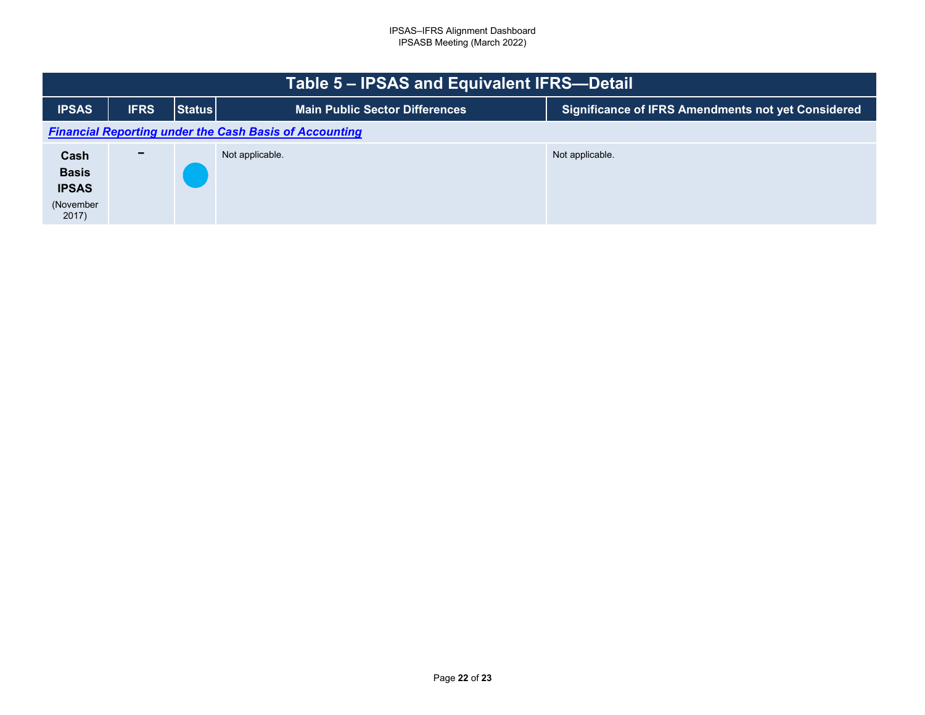<span id="page-21-0"></span>

| Table 5 – IPSAS and Equivalent IFRS-Detail                    |                          |               |                                       |                                                           |  |  |
|---------------------------------------------------------------|--------------------------|---------------|---------------------------------------|-----------------------------------------------------------|--|--|
| <b>IPSAS</b>                                                  | <b>IFRS</b>              | <b>Status</b> | <b>Main Public Sector Differences</b> | <b>Significance of IFRS Amendments not yet Considered</b> |  |  |
| <b>Financial Reporting under the Cash Basis of Accounting</b> |                          |               |                                       |                                                           |  |  |
| Cash<br><b>Basis</b><br><b>IPSAS</b><br>(November<br>2017)    | $\overline{\phantom{0}}$ |               | Not applicable.                       | Not applicable.                                           |  |  |